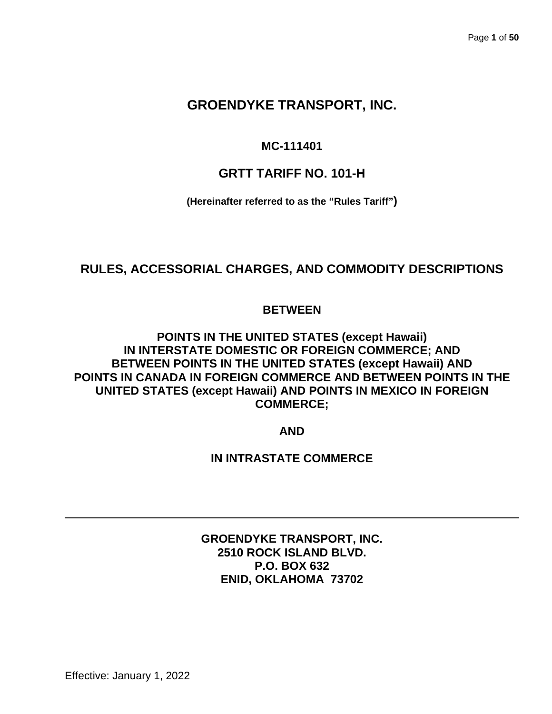# **GROENDYKE TRANSPORT, INC.**

# **MC-111401**

# **GRTT TARIFF NO. 101-H**

**(Hereinafter referred to as the "Rules Tariff")**

# **RULES, ACCESSORIAL CHARGES, AND COMMODITY DESCRIPTIONS**

# **BETWEEN**

**POINTS IN THE UNITED STATES (except Hawaii) IN INTERSTATE DOMESTIC OR FOREIGN COMMERCE; AND BETWEEN POINTS IN THE UNITED STATES (except Hawaii) AND POINTS IN CANADA IN FOREIGN COMMERCE AND BETWEEN POINTS IN THE UNITED STATES (except Hawaii) AND POINTS IN MEXICO IN FOREIGN COMMERCE;**

**AND**

# **IN INTRASTATE COMMERCE**

**GROENDYKE TRANSPORT, INC. 2510 ROCK ISLAND BLVD. P.O. BOX 632 ENID, OKLAHOMA 73702**

Effective: January 1, 2022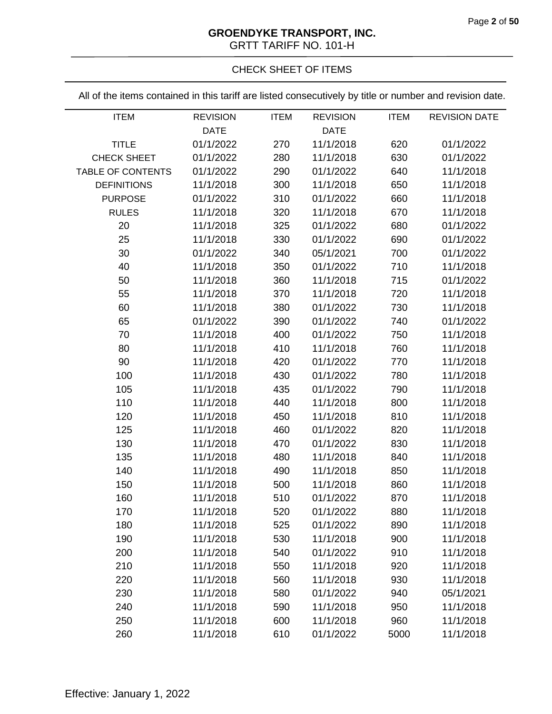# **GROENDYKE TRANSPORT, INC.**

GRTT TARIFF NO. 101-H

# CHECK SHEET OF ITEMS

All of the items contained in this tariff are listed consecutively by title or number and revision date.

| <b>ITEM</b>              | <b>REVISION</b> | <b>ITEM</b> | <b>REVISION</b> | <b>ITEM</b> | <b>REVISION DATE</b> |
|--------------------------|-----------------|-------------|-----------------|-------------|----------------------|
|                          | <b>DATE</b>     |             | <b>DATE</b>     |             |                      |
| <b>TITLE</b>             | 01/1/2022       | 270         | 11/1/2018       | 620         | 01/1/2022            |
| <b>CHECK SHEET</b>       | 01/1/2022       | 280         | 11/1/2018       | 630         | 01/1/2022            |
| <b>TABLE OF CONTENTS</b> | 01/1/2022       | 290         | 01/1/2022       | 640         | 11/1/2018            |
| <b>DEFINITIONS</b>       | 11/1/2018       | 300         | 11/1/2018       | 650         | 11/1/2018            |
| <b>PURPOSE</b>           | 01/1/2022       | 310         | 01/1/2022       | 660         | 11/1/2018            |
| <b>RULES</b>             | 11/1/2018       | 320         | 11/1/2018       | 670         | 11/1/2018            |
| 20                       | 11/1/2018       | 325         | 01/1/2022       | 680         | 01/1/2022            |
| 25                       | 11/1/2018       | 330         | 01/1/2022       | 690         | 01/1/2022            |
| 30                       | 01/1/2022       | 340         | 05/1/2021       | 700         | 01/1/2022            |
| 40                       | 11/1/2018       | 350         | 01/1/2022       | 710         | 11/1/2018            |
| 50                       | 11/1/2018       | 360         | 11/1/2018       | 715         | 01/1/2022            |
| 55                       | 11/1/2018       | 370         | 11/1/2018       | 720         | 11/1/2018            |
| 60                       | 11/1/2018       | 380         | 01/1/2022       | 730         | 11/1/2018            |
| 65                       | 01/1/2022       | 390         | 01/1/2022       | 740         | 01/1/2022            |
| 70                       | 11/1/2018       | 400         | 01/1/2022       | 750         | 11/1/2018            |
| 80                       | 11/1/2018       | 410         | 11/1/2018       | 760         | 11/1/2018            |
| 90                       | 11/1/2018       | 420         | 01/1/2022       | 770         | 11/1/2018            |
| 100                      | 11/1/2018       | 430         | 01/1/2022       | 780         | 11/1/2018            |
| 105                      | 11/1/2018       | 435         | 01/1/2022       | 790         | 11/1/2018            |
| 110                      | 11/1/2018       | 440         | 11/1/2018       | 800         | 11/1/2018            |
| 120                      | 11/1/2018       | 450         | 11/1/2018       | 810         | 11/1/2018            |
| 125                      | 11/1/2018       | 460         | 01/1/2022       | 820         | 11/1/2018            |
| 130                      | 11/1/2018       | 470         | 01/1/2022       | 830         | 11/1/2018            |
| 135                      | 11/1/2018       | 480         | 11/1/2018       | 840         | 11/1/2018            |
| 140                      | 11/1/2018       | 490         | 11/1/2018       | 850         | 11/1/2018            |
| 150                      | 11/1/2018       | 500         | 11/1/2018       | 860         | 11/1/2018            |
| 160                      | 11/1/2018       | 510         | 01/1/2022       | 870         | 11/1/2018            |
| 170                      | 11/1/2018       | 520         | 01/1/2022       | 880         | 11/1/2018            |
| 180                      | 11/1/2018       | 525         | 01/1/2022       | 890         | 11/1/2018            |
| 190                      | 11/1/2018       | 530         | 11/1/2018       | 900         | 11/1/2018            |
| 200                      | 11/1/2018       | 540         | 01/1/2022       | 910         | 11/1/2018            |
| 210                      | 11/1/2018       | 550         | 11/1/2018       | 920         | 11/1/2018            |
| 220                      | 11/1/2018       | 560         | 11/1/2018       | 930         | 11/1/2018            |
| 230                      | 11/1/2018       | 580         | 01/1/2022       | 940         | 05/1/2021            |
| 240                      | 11/1/2018       | 590         | 11/1/2018       | 950         | 11/1/2018            |
| 250                      | 11/1/2018       | 600         | 11/1/2018       | 960         | 11/1/2018            |
| 260                      | 11/1/2018       | 610         | 01/1/2022       | 5000        | 11/1/2018            |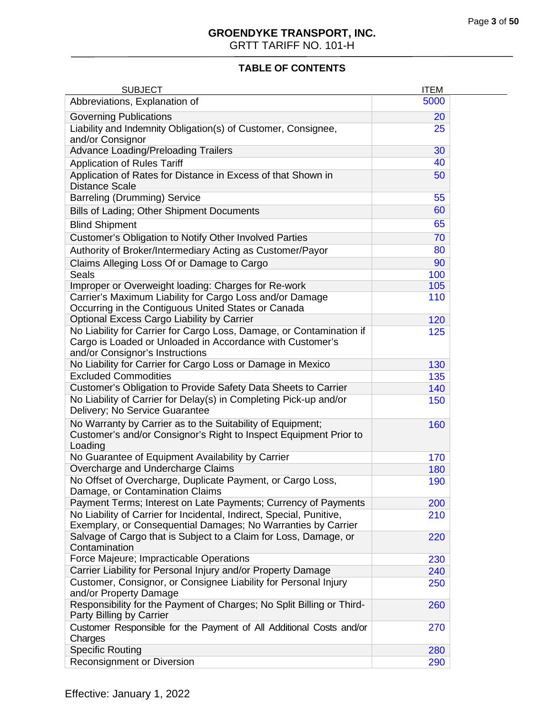# **TABLE OF CONTENTS**

| <b>SUBJECT</b>                                                                                                                                                       | <b>ITEM</b> |  |
|----------------------------------------------------------------------------------------------------------------------------------------------------------------------|-------------|--|
| Abbreviations, Explanation of                                                                                                                                        | 5000        |  |
| <b>Governing Publications</b>                                                                                                                                        | 20          |  |
| Liability and Indemnity Obligation(s) of Customer, Consignee,<br>and/or Consignor                                                                                    | 25          |  |
| <b>Advance Loading/Preloading Trailers</b>                                                                                                                           | 30          |  |
| <b>Application of Rules Tariff</b>                                                                                                                                   | 40          |  |
| Application of Rates for Distance in Excess of that Shown in<br><b>Distance Scale</b>                                                                                | 50          |  |
| <b>Barreling (Drumming) Service</b>                                                                                                                                  | 55          |  |
| Bills of Lading; Other Shipment Documents                                                                                                                            | 60          |  |
| <b>Blind Shipment</b>                                                                                                                                                | 65          |  |
| Customer's Obligation to Notify Other Involved Parties                                                                                                               | 70          |  |
| Authority of Broker/Intermediary Acting as Customer/Payor                                                                                                            | 80          |  |
| Claims Alleging Loss Of or Damage to Cargo                                                                                                                           | 90          |  |
| <b>Seals</b>                                                                                                                                                         | 100         |  |
| Improper or Overweight loading: Charges for Re-work                                                                                                                  | 105         |  |
| Carrier's Maximum Liability for Cargo Loss and/or Damage<br>Occurring in the Contiguous United States or Canada                                                      | 110         |  |
| Optional Excess Cargo Liability by Carrier                                                                                                                           | 120         |  |
| No Liability for Carrier for Cargo Loss, Damage, or Contamination if<br>Cargo is Loaded or Unloaded in Accordance with Customer's<br>and/or Consignor's Instructions | 125         |  |
| No Liability for Carrier for Cargo Loss or Damage in Mexico                                                                                                          | 130         |  |
| <b>Excluded Commodities</b>                                                                                                                                          | 135         |  |
| Customer's Obligation to Provide Safety Data Sheets to Carrier                                                                                                       | 140         |  |
| No Liability of Carrier for Delay(s) in Completing Pick-up and/or<br>Delivery; No Service Guarantee                                                                  | 150         |  |
| No Warranty by Carrier as to the Suitability of Equipment;<br>Customer's and/or Consignor's Right to Inspect Equipment Prior to<br>Loading                           | 160         |  |
| No Guarantee of Equipment Availability by Carrier                                                                                                                    | 170         |  |
| Overcharge and Undercharge Claims                                                                                                                                    | 180         |  |
| No Offset of Overcharge, Duplicate Payment, or Cargo Loss,<br>Damage, or Contamination Claims                                                                        | 190         |  |
| Payment Terms; Interest on Late Payments; Currency of Payments                                                                                                       | 200         |  |
| No Liability of Carrier for Incidental, Indirect, Special, Punitive,<br>Exemplary, or Consequential Damages; No Warranties by Carrier                                | 210         |  |
| Salvage of Cargo that is Subject to a Claim for Loss, Damage, or<br>Contamination                                                                                    | 220         |  |
| Force Majeure; Impracticable Operations                                                                                                                              | 230         |  |
| Carrier Liability for Personal Injury and/or Property Damage                                                                                                         | 240         |  |
| Customer, Consignor, or Consignee Liability for Personal Injury<br>and/or Property Damage                                                                            | 250         |  |
| Responsibility for the Payment of Charges; No Split Billing or Third-<br>Party Billing by Carrier                                                                    | 260         |  |
| Customer Responsible for the Payment of All Additional Costs and/or<br>Charges                                                                                       | 270         |  |
| <b>Specific Routing</b>                                                                                                                                              | 280         |  |
| Reconsignment or Diversion                                                                                                                                           | 290         |  |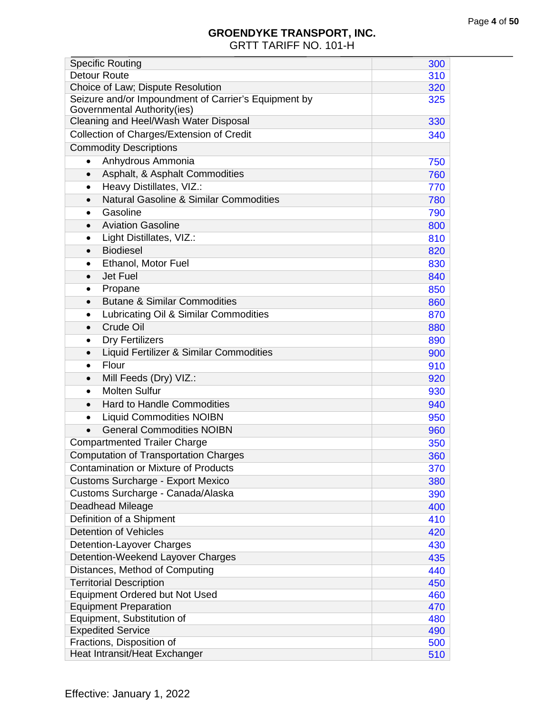| <b>Specific Routing</b>                                                             | 300 |
|-------------------------------------------------------------------------------------|-----|
| <b>Detour Route</b>                                                                 | 310 |
| Choice of Law; Dispute Resolution                                                   | 320 |
| Seizure and/or Impoundment of Carrier's Equipment by<br>Governmental Authority(ies) | 325 |
| Cleaning and Heel/Wash Water Disposal                                               | 330 |
| Collection of Charges/Extension of Credit                                           | 340 |
| <b>Commodity Descriptions</b>                                                       |     |
| Anhydrous Ammonia<br>$\bullet$                                                      | 750 |
| Asphalt, & Asphalt Commodities<br>$\bullet$                                         | 760 |
| Heavy Distillates, VIZ.:<br>$\bullet$                                               | 770 |
| <b>Natural Gasoline &amp; Similar Commodities</b><br>$\bullet$                      | 780 |
| Gasoline<br>$\bullet$                                                               | 790 |
| <b>Aviation Gasoline</b><br>$\bullet$                                               | 800 |
| Light Distillates, VIZ.:<br>$\bullet$                                               | 810 |
| <b>Biodiesel</b><br>$\bullet$                                                       | 820 |
| Ethanol, Motor Fuel<br>$\bullet$                                                    | 830 |
| Jet Fuel<br>$\bullet$                                                               | 840 |
| Propane<br>$\bullet$                                                                | 850 |
| <b>Butane &amp; Similar Commodities</b><br>$\bullet$                                | 860 |
| Lubricating Oil & Similar Commodities<br>$\bullet$                                  | 870 |
| Crude Oil<br>$\bullet$                                                              | 880 |
| <b>Dry Fertilizers</b><br>$\bullet$                                                 | 890 |
| Liquid Fertilizer & Similar Commodities                                             | 900 |
| Flour<br>$\bullet$                                                                  | 910 |
| Mill Feeds (Dry) VIZ.:<br>$\bullet$                                                 | 920 |
| <b>Molten Sulfur</b><br>$\bullet$                                                   | 930 |
| <b>Hard to Handle Commodities</b><br>$\bullet$                                      | 940 |
| <b>Liquid Commodities NOIBN</b><br>$\bullet$                                        | 950 |
| <b>General Commodities NOIBN</b>                                                    | 960 |
| <b>Compartmented Trailer Charge</b>                                                 | 350 |
| <b>Computation of Transportation Charges</b>                                        | 360 |
| <b>Contamination or Mixture of Products</b>                                         | 370 |
| <b>Customs Surcharge - Export Mexico</b>                                            | 380 |
| Customs Surcharge - Canada/Alaska                                                   | 390 |
| Deadhead Mileage                                                                    | 400 |
| Definition of a Shipment                                                            | 410 |
| <b>Detention of Vehicles</b>                                                        | 420 |
| Detention-Layover Charges                                                           | 430 |
| Detention-Weekend Layover Charges                                                   | 435 |
| Distances, Method of Computing                                                      | 440 |
| <b>Territorial Description</b>                                                      | 450 |
| <b>Equipment Ordered but Not Used</b>                                               | 460 |
| <b>Equipment Preparation</b>                                                        | 470 |
| Equipment, Substitution of                                                          | 480 |
| <b>Expedited Service</b>                                                            | 490 |
| Fractions, Disposition of                                                           | 500 |
| Heat Intransit/Heat Exchanger                                                       | 510 |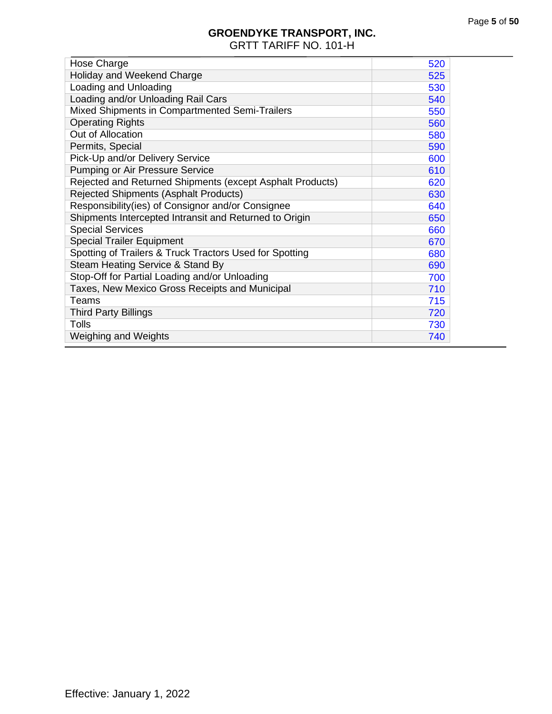<span id="page-4-0"></span>

| Hose Charge                                               | 520 |
|-----------------------------------------------------------|-----|
| Holiday and Weekend Charge                                | 525 |
| Loading and Unloading                                     | 530 |
| Loading and/or Unloading Rail Cars                        | 540 |
| Mixed Shipments in Compartmented Semi-Trailers            | 550 |
| <b>Operating Rights</b>                                   | 560 |
| Out of Allocation                                         | 580 |
| Permits, Special                                          | 590 |
| Pick-Up and/or Delivery Service                           | 600 |
| Pumping or Air Pressure Service                           | 610 |
| Rejected and Returned Shipments (except Asphalt Products) | 620 |
| Rejected Shipments (Asphalt Products)                     | 630 |
| Responsibility(ies) of Consignor and/or Consignee         | 640 |
| Shipments Intercepted Intransit and Returned to Origin    | 650 |
| <b>Special Services</b>                                   | 660 |
| <b>Special Trailer Equipment</b>                          | 670 |
| Spotting of Trailers & Truck Tractors Used for Spotting   | 680 |
| Steam Heating Service & Stand By                          | 690 |
| Stop-Off for Partial Loading and/or Unloading             | 700 |
| Taxes, New Mexico Gross Receipts and Municipal            | 710 |
| Teams                                                     | 715 |
| <b>Third Party Billings</b>                               | 720 |
| Tolls                                                     | 730 |
| <b>Weighing and Weights</b>                               | 740 |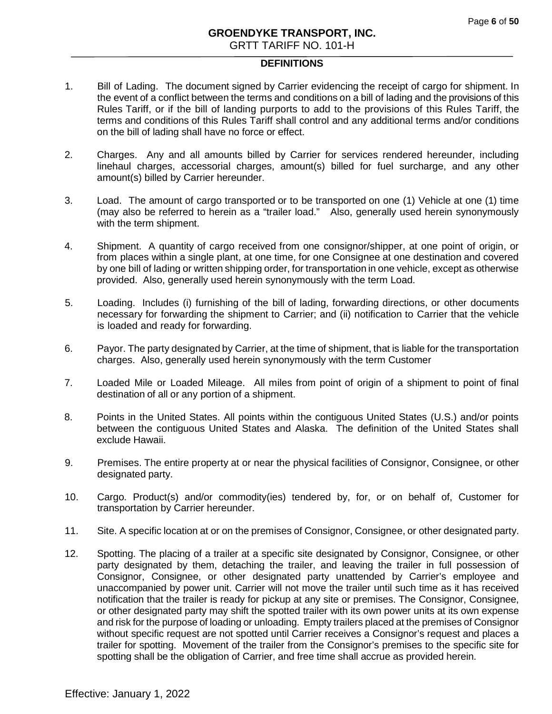## **DEFINITIONS**

- 1. Bill of Lading. The document signed by Carrier evidencing the receipt of cargo for shipment. In the event of a conflict between the terms and conditions on a bill of lading and the provisions of this Rules Tariff, or if the bill of landing purports to add to the provisions of this Rules Tariff, the terms and conditions of this Rules Tariff shall control and any additional terms and/or conditions on the bill of lading shall have no force or effect.
- 2. Charges. Any and all amounts billed by Carrier for services rendered hereunder, including linehaul charges, accessorial charges, amount(s) billed for fuel surcharge, and any other amount(s) billed by Carrier hereunder.
- 3. Load. The amount of cargo transported or to be transported on one (1) Vehicle at one (1) time (may also be referred to herein as a "trailer load."Also, generally used herein synonymously with the term shipment.
- 4. Shipment. A quantity of cargo received from one consignor/shipper, at one point of origin, or from places within a single plant, at one time, for one Consignee at one destination and covered by one bill of lading or written shipping order, for transportation in one vehicle, except as otherwise provided. Also, generally used herein synonymously with the term Load.
- 5. Loading. Includes (i) furnishing of the bill of lading, forwarding directions, or other documents necessary for forwarding the shipment to Carrier; and (ii) notification to Carrier that the vehicle is loaded and ready for forwarding.
- 6. Payor. The party designated by Carrier, at the time of shipment, that is liable for the transportation charges. Also, generally used herein synonymously with the term Customer
- 7. Loaded Mile or Loaded Mileage. All miles from point of origin of a shipment to point of final destination of all or any portion of a shipment.
- 8. Points in the United States. All points within the contiguous United States (U.S.) and/or points between the contiguous United States and Alaska. The definition of the United States shall exclude Hawaii.
- 9. Premises. The entire property at or near the physical facilities of Consignor, Consignee, or other designated party.
- 10. Cargo. Product(s) and/or commodity(ies) tendered by, for, or on behalf of, Customer for transportation by Carrier hereunder.
- 11. Site. A specific location at or on the premises of Consignor, Consignee, or other designated party.
- 12. Spotting. The placing of a trailer at a specific site designated by Consignor, Consignee, or other party designated by them, detaching the trailer, and leaving the trailer in full possession of Consignor, Consignee, or other designated party unattended by Carrier's employee and unaccompanied by power unit. Carrier will not move the trailer until such time as it has received notification that the trailer is ready for pickup at any site or premises. The Consignor, Consignee, or other designated party may shift the spotted trailer with its own power units at its own expense and risk for the purpose of loading or unloading. Empty trailers placed at the premises of Consignor without specific request are not spotted until Carrier receives a Consignor's request and places a trailer for spotting. Movement of the trailer from the Consignor's premises to the specific site for spotting shall be the obligation of Carrier, and free time shall accrue as provided herein.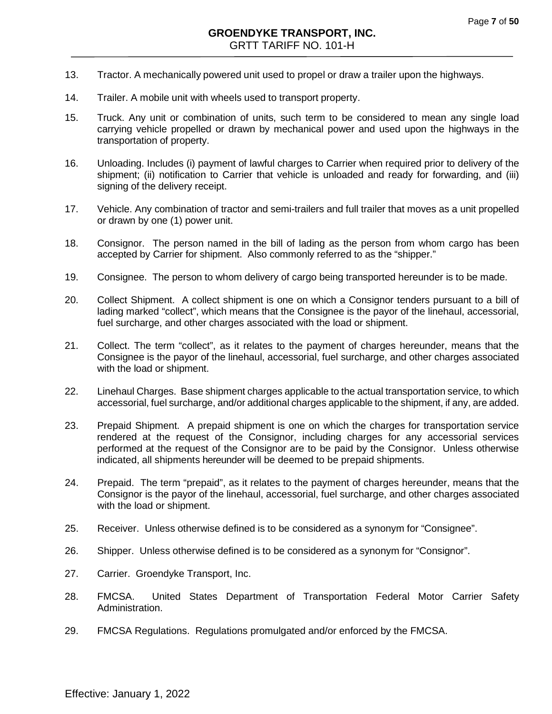- 13. Tractor. A mechanically powered unit used to propel or draw a trailer upon the highways.
- 14. Trailer. A mobile unit with wheels used to transport property.
- 15. Truck. Any unit or combination of units, such term to be considered to mean any single load carrying vehicle propelled or drawn by mechanical power and used upon the highways in the transportation of property.
- 16. Unloading. Includes (i) payment of lawful charges to Carrier when required prior to delivery of the shipment; (ii) notification to Carrier that vehicle is unloaded and ready for forwarding, and (iii) signing of the delivery receipt.
- 17. Vehicle. Any combination of tractor and semi-trailers and full trailer that moves as a unit propelled or drawn by one (1) power unit.
- 18. Consignor. The person named in the bill of lading as the person from whom cargo has been accepted by Carrier for shipment. Also commonly referred to as the "shipper."
- 19. Consignee. The person to whom delivery of cargo being transported hereunder is to be made.
- 20. Collect Shipment. A collect shipment is one on which a Consignor tenders pursuant to a bill of lading marked "collect", which means that the Consignee is the payor of the linehaul, accessorial, fuel surcharge, and other charges associated with the load or shipment.
- 21. Collect. The term "collect", as it relates to the payment of charges hereunder, means that the Consignee is the payor of the linehaul, accessorial, fuel surcharge, and other charges associated with the load or shipment.
- 22. Linehaul Charges. Base shipment charges applicable to the actual transportation service, to which accessorial, fuel surcharge, and/or additional charges applicable to the shipment, if any, are added.
- 23. Prepaid Shipment. A prepaid shipment is one on which the charges for transportation service rendered at the request of the Consignor, including charges for any accessorial services performed at the request of the Consignor are to be paid by the Consignor. Unless otherwise indicated, all shipments hereunder will be deemed to be prepaid shipments.
- 24. Prepaid. The term "prepaid", as it relates to the payment of charges hereunder, means that the Consignor is the payor of the linehaul, accessorial, fuel surcharge, and other charges associated with the load or shipment.
- 25. Receiver. Unless otherwise defined is to be considered as a synonym for "Consignee".
- 26. Shipper. Unless otherwise defined is to be considered as a synonym for "Consignor".
- 27. Carrier. Groendyke Transport, Inc.
- 28. FMCSA. United States Department of Transportation Federal Motor Carrier Safety Administration.
- 29. FMCSA Regulations. Regulations promulgated and/or enforced by the FMCSA.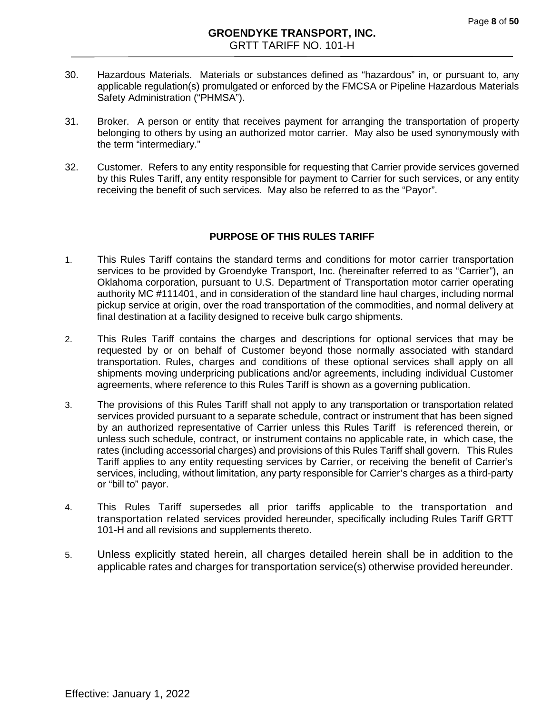- 30. Hazardous Materials. Materials or substances defined as "hazardous" in, or pursuant to, any applicable regulation(s) promulgated or enforced by the FMCSA or Pipeline Hazardous Materials Safety Administration ("PHMSA").
- 31. Broker. A person or entity that receives payment for arranging the transportation of property belonging to others by using an authorized motor carrier. May also be used synonymously with the term "intermediary."
- 32. Customer. Refers to any entity responsible for requesting that Carrier provide services governed by this Rules Tariff, any entity responsible for payment to Carrier for such services, or any entity receiving the benefit of such services. May also be referred to as the "Payor".

# **PURPOSE OF THIS RULES TARIFF**

- 1. This Rules Tariff contains the standard terms and conditions for motor carrier transportation services to be provided by Groendyke Transport, Inc. (hereinafter referred to as "Carrier"), an Oklahoma corporation, pursuant to U.S. Department of Transportation motor carrier operating authority MC #111401, and in consideration of the standard line haul charges, including normal pickup service at origin, over the road transportation of the commodities, and normal delivery at final destination at a facility designed to receive bulk cargo shipments.
- 2. This Rules Tariff contains the charges and descriptions for optional services that may be requested by or on behalf of Customer beyond those normally associated with standard transportation. Rules, charges and conditions of these optional services shall apply on all shipments moving underpricing publications and/or agreements, including individual Customer agreements, where reference to this Rules Tariff is shown as a governing publication.
- 3. The provisions of this Rules Tariff shall not apply to any transportation or transportation related services provided pursuant to a separate schedule, contract or instrument that has been signed by an authorized representative of Carrier unless this Rules Tariff is referenced therein, or unless such schedule, contract, or instrument contains no applicable rate, in which case, the rates (including accessorial charges) and provisions of this Rules Tariff shall govern. This Rules Tariff applies to any entity requesting services by Carrier, or receiving the benefit of Carrier's services, including, without limitation, any party responsible for Carrier's charges as a third-party or "bill to" payor.
- 4. This Rules Tariff supersedes all prior tariffs applicable to the transportation and transportation related services provided hereunder, specifically including Rules Tariff GRTT 101-H and all revisions and supplements thereto.
- 5. Unless explicitly stated herein, all charges detailed herein shall be in addition to the applicable rates and charges for transportation service(s) otherwise provided hereunder.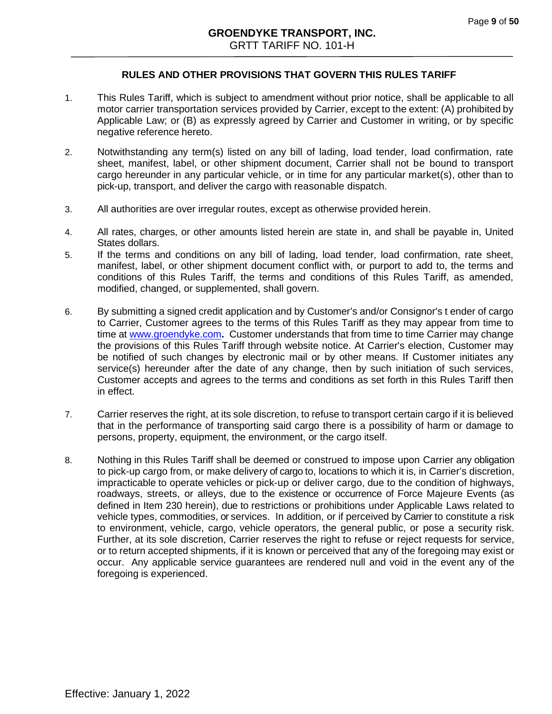# **RULES AND OTHER PROVISIONS THAT GOVERN THIS RULES TARIFF**

- 1. This Rules Tariff, which is subject to amendment without prior notice, shall be applicable to all motor carrier transportation services provided by Carrier, except to the extent: (A) prohibited by Applicable Law; or (B) as expressly agreed by Carrier and Customer in writing, or by specific negative reference hereto.
- 2. Notwithstanding any term(s) listed on any bill of lading, load tender, load confirmation, rate sheet, manifest, label, or other shipment document, Carrier shall not be bound to transport cargo hereunder in any particular vehicle, or in time for any particular market(s), other than to pick-up, transport, and deliver the cargo with reasonable dispatch.
- 3. All authorities are over irregular routes, except as otherwise provided herein.
- 4. All rates, charges, or other amounts listed herein are state in, and shall be payable in, United States dollars.
- 5. If the terms and conditions on any bill of lading, load tender, load confirmation, rate sheet, manifest, label, or other shipment document conflict with, or purport to add to, the terms and conditions of this Rules Tariff, the terms and conditions of this Rules Tariff, as amended, modified, changed, or supplemented, shall govern.
- 6. By submitting a signed credit application and by Customer's and/or Consignor's t ender of cargo to Carrier, Customer agrees to the terms of this Rules Tariff as they may appear from time to time at [www.groendyke.com](http://www.groendyke.com/)**.** Customer understands that from time to time Carrier may change the provisions of this Rules Tariff through website notice. At Carrier's election, Customer may be notified of such changes by electronic mail or by other means. If Customer initiates any service(s) hereunder after the date of any change, then by such initiation of such services, Customer accepts and agrees to the terms and conditions as set forth in this Rules Tariff then in effect.
- 7. Carrier reserves the right, at its sole discretion, to refuse to transport certain cargo if it is believed that in the performance of transporting said cargo there is a possibility of harm or damage to persons, property, equipment, the environment, or the cargo itself.
- 8. Nothing in this Rules Tariff shall be deemed or construed to impose upon Carrier any obligation to pick-up cargo from, or make delivery of cargo to, locations to which it is, in Carrier's discretion, impracticable to operate vehicles or pick-up or deliver cargo, due to the condition of highways, roadways, streets, or alleys, due to the existence or occurrence of Force Majeure Events (as defined in Item 230 herein), due to restrictions or prohibitions under Applicable Laws related to vehicle types, commodities, or services. In addition, or if perceived by Carrier to constitute a risk to environment, vehicle, cargo, vehicle operators, the general public, or pose a security risk. Further, at its sole discretion, Carrier reserves the right to refuse or reject requests for service, or to return accepted shipments, if it is known or perceived that any of the foregoing may exist or occur. Any applicable service guarantees are rendered null and void in the event any of the foregoing is experienced.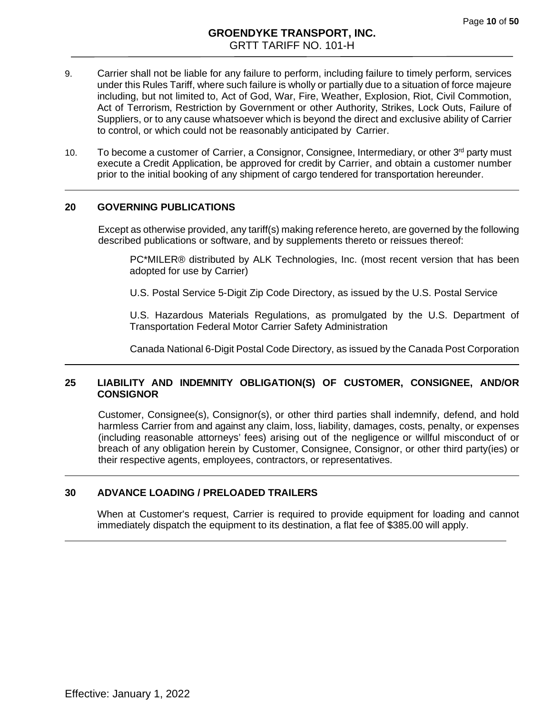- 9. Carrier shall not be liable for any failure to perform, including failure to timely perform, services under this Rules Tariff, where such failure is wholly or partially due to a situation of force majeure including, but not limited to, Act of God, War, Fire, Weather, Explosion, Riot, Civil Commotion, Act of Terrorism, Restriction by Government or other Authority, Strikes, Lock Outs, Failure of Suppliers, or to any cause whatsoever which is beyond the direct and exclusive ability of Carrier to control, or which could not be reasonably anticipated by Carrier.
- 10. To become a customer of Carrier, a Consignor, Consignee, Intermediary, or other  $3<sup>rd</sup>$  party must execute a Credit Application, be approved for credit by Carrier, and obtain a customer number prior to the initial booking of any shipment of cargo tendered for transportation hereunder.

#### **20 GOVERNING PUBLICATIONS**

Except as otherwise provided, any tariff(s) making reference hereto, are governed by the following described publications or software, and by supplements thereto or reissues thereof:

PC\*MILER® distributed by ALK Technologies, Inc. (most recent version that has been adopted for use by Carrier)

U.S. Postal Service 5-Digit Zip Code Directory, as issued by the U.S. Postal Service

U.S. Hazardous Materials Regulations, as promulgated by the U.S. Department of Transportation Federal Motor Carrier Safety Administration

Canada National 6-Digit Postal Code Directory, as issued by the Canada Post Corporation

#### **25 LIABILITY AND INDEMNITY OBLIGATION(S) OF CUSTOMER, CONSIGNEE, AND/OR CONSIGNOR**

Customer, Consignee(s), Consignor(s), or other third parties shall indemnify, defend, and hold harmless Carrier from and against any claim, loss, liability, damages, costs, penalty, or expenses (including reasonable attorneys' fees) arising out of the negligence or willful misconduct of or breach of any obligation herein by Customer, Consignee, Consignor, or other third party(ies) or their respective agents, employees, contractors, or representatives.

## <span id="page-9-0"></span>**30 ADVANCE LOADING / PRELOADED TRAILERS**

When at Customer's request, Carrier is required to provide equipment for loading and cannot immediately dispatch the equipment to its destination, a flat fee of \$385.00 will apply.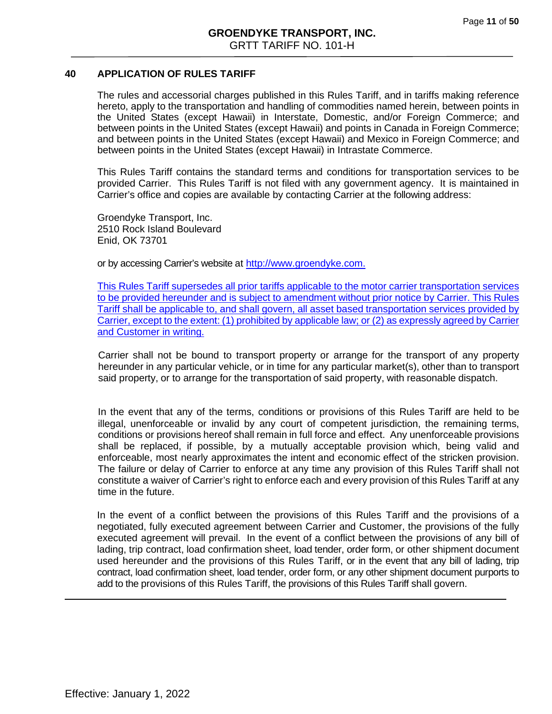## <span id="page-10-0"></span>**40 APPLICATION OF RULES TARIFF**

The rules and accessorial charges published in this Rules Tariff, and in tariffs making reference hereto, apply to the transportation and handling of commodities named herein, between points in the United States (except Hawaii) in Interstate, Domestic, and/or Foreign Commerce; and between points in the United States (except Hawaii) and points in Canada in Foreign Commerce; and between points in the United States (except Hawaii) and Mexico in Foreign Commerce; and between points in the United States (except Hawaii) in Intrastate Commerce.

This Rules Tariff contains the standard terms and conditions for transportation services to be provided Carrier. This Rules Tariff is not filed with any government agency. It is maintained in Carrier's office and copies are available by contacting Carrier at the following address:

Groendyke Transport, Inc. 2510 Rock Island Boulevard Enid, OK 73701

or by accessing Carrier's website at http://www.groendyke.com.

This Rules Tariff supersedes all prior tariffs applicable to the motor carrier transportation services to be provided hereunder and is subject to amendment without prior notice by Carrier. This Rules Tariff shall be applicable to, and shall govern, all asset based transportation services provided by Carrier, except to the extent: (1) prohibited by applicable law; or (2) as expressly agreed by Carrier and Customer in writing.

Carrier shall not be bound to transport property or arrange for the transport of any property hereunder in any particular vehicle, or in time for any particular market(s), other than to transport said property, or to arrange for the transportation of said property, with reasonable dispatch.

In the event that any of the terms, conditions or provisions of this Rules Tariff are held to be illegal, unenforceable or invalid by any court of competent jurisdiction, the remaining terms, conditions or provisions hereof shall remain in full force and effect. Any unenforceable provisions shall be replaced, if possible, by a mutually acceptable provision which, being valid and enforceable, most nearly approximates the intent and economic effect of the stricken provision. The failure or delay of Carrier to enforce at any time any provision of this Rules Tariff shall not constitute a waiver of Carrier's right to enforce each and every provision of this Rules Tariff at any time in the future.

In the event of a conflict between the provisions of this Rules Tariff and the provisions of a negotiated, fully executed agreement between Carrier and Customer, the provisions of the fully executed agreement will prevail. In the event of a conflict between the provisions of any bill of lading, trip contract, load confirmation sheet, load tender, order form, or other shipment document used hereunder and the provisions of this Rules Tariff, or in the event that any bill of lading, trip contract, load confirmation sheet, load tender, order form, or any other shipment document purports to add to the provisions of this Rules Tariff, the provisions of this Rules Tariff shall govern.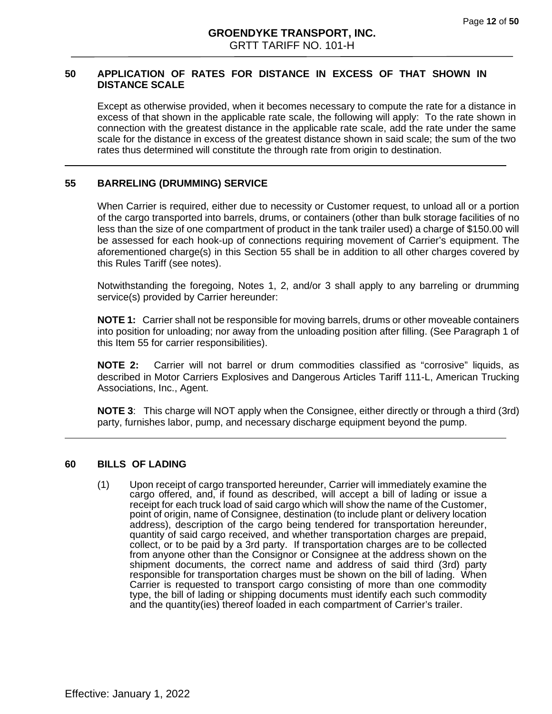#### <span id="page-11-0"></span>**50 APPLICATION OF RATES FOR DISTANCE IN EXCESS OF THAT SHOWN IN DISTANCE SCALE**

Except as otherwise provided, when it becomes necessary to compute the rate for a distance in excess of that shown in the applicable rate scale, the following will apply: To the rate shown in connection with the greatest distance in the applicable rate scale, add the rate under the same scale for the distance in excess of the greatest distance shown in said scale; the sum of the two rates thus determined will constitute the through rate from origin to destination.

#### <span id="page-11-1"></span>**55 BARRELING (DRUMMING) SERVICE**

When Carrier is required, either due to necessity or Customer request, to unload all or a portion of the cargo transported into barrels, drums, or containers (other than bulk storage facilities of no less than the size of one compartment of product in the tank trailer used) a charge of \$150.00 will be assessed for each hook-up of connections requiring movement of Carrier's equipment. The aforementioned charge(s) in this Section 55 shall be in addition to all other charges covered by this Rules Tariff (see notes).

Notwithstanding the foregoing, Notes 1, 2, and/or 3 shall apply to any barreling or drumming service(s) provided by Carrier hereunder:

**NOTE 1:** Carrier shall not be responsible for moving barrels, drums or other moveable containers into position for unloading; nor away from the unloading position after filling. (See Paragraph 1 of this Item 55 for carrier responsibilities).

**NOTE 2:** Carrier will not barrel or drum commodities classified as "corrosive" liquids, as described in Motor Carriers Explosives and Dangerous Articles Tariff 111-L, American Trucking Associations, Inc., Agent.

**NOTE 3**: This charge will NOT apply when the Consignee, either directly or through a third (3rd) party, furnishes labor, pump, and necessary discharge equipment beyond the pump.

#### **60 BILLS OF LADING**

(1) Upon receipt of cargo transported hereunder, Carrier will immediately examine the cargo offered, and, if found as described, will accept a bill of lading or issue a<br>receipt for each truck load of said cargo which will show the name of the Customer, point of origin, name of Consignee, destination (to include plant or delivery location address), description of the cargo being tendered for transportation hereunder, quantity of said cargo received, and whether transportation charges are prepaid, collect, or to be paid by a 3rd party. If transportation charges are to be collected from anyone other than the Consignor or Consignee at the address shown on the shipment documents, the correct name and address of said third (3rd) party responsible for transportation charges must be shown on the bill of lading. When Carrier is requested to transport cargo consisting of more than one commodity type, the bill of lading or shipping documents must identify each such commodity and the quantity(ies) thereof loaded in each compartment of Carrier's trailer.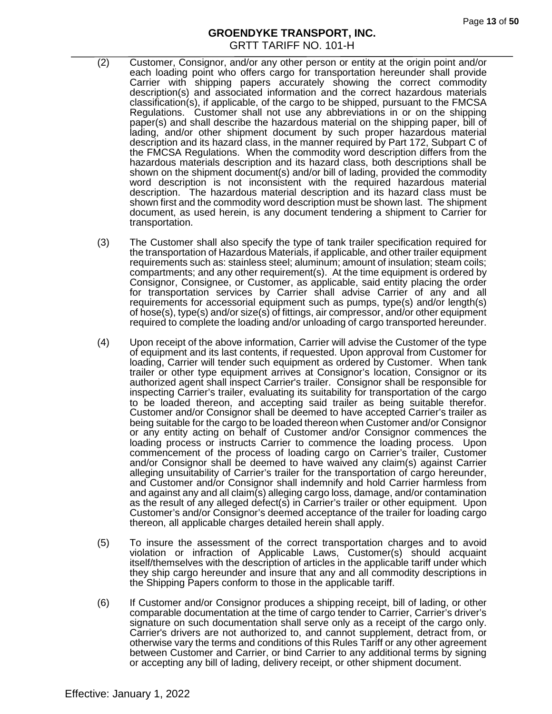- (2) Customer, Consignor, and/or any other person or entity at the origin point and/or each loading point who offers cargo for transportation hereunder shall provide Carrier with shipping papers accurately showing the correct commodity description(s) and associated information and the correct hazardous materials classification(s), if applicable, of the cargo to be shipped, pursuant to the FMCSA Regulations. Customer shall not use any abbreviations in or on the shipping paper(s) and shall describe the hazardous material on the shipping paper, bill of lading, and/or other shipment document by such proper hazardous material description and its hazard class, in the manner required by Part 172, Subpart C of the FMCSA Regulations. When the commodity word description differs from the hazardous materials description and its hazard class, both descriptions shall be shown on the shipment document(s) and/or bill of lading, provided the commodity word description is not inconsistent with the required hazardous material description. The hazardous material description and its hazard class must be shown first and the commodity word description must be shown last. The shipment document, as used herein, is any document tendering a shipment to Carrier for transportation.
- (3) The Customer shall also specify the type of tank trailer specification required for the transportation of Hazardous Materials, if applicable, and other trailer equipment requirements such as: stainless steel; aluminum; amount of insulation; steam coils; compartments; and any other requirement(s). At the time equipment is ordered by Consignor, Consignee, or Customer, as applicable, said entity placing the order for transportation services by Carrier shall advise Carrier of any and all requirements for accessorial equipment such as pumps, type(s) and/or length(s) of hose(s), type(s) and/or size(s) of fittings, air compressor, and/or other equipment required to complete the loading and/or unloading of cargo transported hereunder.
- (4) Upon receipt of the above information, Carrier will advise the Customer of the type of equipment and its last contents, if requested. Upon approval from Customer for loading, Carrier will tender such equipment as ordered by Customer. When tank trailer or other type equipment arrives at Consignor's location, Consignor or its authorized agent shall inspect Carrier's trailer. Consignor shall be responsible for inspecting Carrier's trailer, evaluating its suitability for transportation of the cargo to be loaded thereon, and accepting said trailer as being suitable therefor. Customer and/or Consignor shall be deemed to have accepted Carrier's trailer as being suitable for the cargo to be loaded thereon when Customer and/or Consignor or any entity acting on behalf of Customer and/or Consignor commences the loading process or instructs Carrier to commence the loading process. Upon commencement of the process of loading cargo on Carrier's trailer, Customer and/or Consignor shall be deemed to have waived any claim(s) against Carrier alleging unsuitability of Carrier's trailer for the transportation of cargo hereunder, and Customer and/or Consignor shall indemnify and hold Carrier harmless from and against any and all claim(s) alleging cargo loss, damage, and/or contamination as the result of any alleged defect(s) in Carrier's trailer or other equipment. Upon Customer's and/or Consignor's deemed acceptance of the trailer for loading cargo thereon, all applicable charges detailed herein shall apply.
- (5) To insure the assessment of the correct transportation charges and to avoid violation or infraction of Applicable Laws, Customer(s) should acquaint itself/themselves with the description of articles in the applicable tariff under which they ship cargo hereunder and insure that any and all commodity descriptions in the Shipping Papers conform to those in the applicable tariff.
- (6) If Customer and/or Consignor produces a shipping receipt, bill of lading, or other comparable documentation at the time of cargo tender to Carrier, Carrier's driver's signature on such documentation shall serve only as a receipt of the cargo only. Carrier's drivers are not authorized to, and cannot supplement, detract from, or otherwise vary the terms and conditions of this Rules Tariff or any other agreement between Customer and Carrier, or bind Carrier to any additional terms by signing or accepting any bill of lading, delivery receipt, or other shipment document.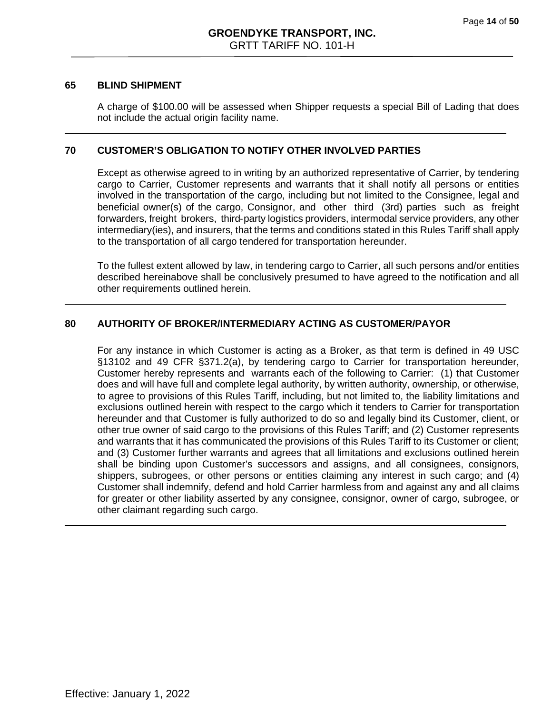#### **65 BLIND SHIPMENT**

A charge of \$100.00 will be assessed when Shipper requests a special Bill of Lading that does not include the actual origin facility name.

#### <span id="page-13-0"></span>**70 CUSTOMER'S OBLIGATION TO NOTIFY OTHER INVOLVED PARTIES**

Except as otherwise agreed to in writing by an authorized representative of Carrier, by tendering cargo to Carrier, Customer represents and warrants that it shall notify all persons or entities involved in the transportation of the cargo, including but not limited to the Consignee, legal and beneficial owner(s) of the cargo, Consignor, and other third (3rd) parties such as freight forwarders, freight brokers, third‐party logistics providers, intermodal service providers, any other intermediary(ies), and insurers, that the terms and conditions stated in this Rules Tariff shall apply to the transportation of all cargo tendered for transportation hereunder.

To the fullest extent allowed by law, in tendering cargo to Carrier, all such persons and/or entities described hereinabove shall be conclusively presumed to have agreed to the notification and all other requirements outlined herein.

## **80 AUTHORITY OF BROKER/INTERMEDIARY ACTING AS CUSTOMER/PAYOR**

For any instance in which Customer is acting as a Broker, as that term is defined in 49 USC §13102 and 49 CFR §371.2(a), by tendering cargo to Carrier for transportation hereunder, Customer hereby represents and warrants each of the following to Carrier: (1) that Customer does and will have full and complete legal authority, by written authority, ownership, or otherwise, to agree to provisions of this Rules Tariff, including, but not limited to, the liability limitations and exclusions outlined herein with respect to the cargo which it tenders to Carrier for transportation hereunder and that Customer is fully authorized to do so and legally bind its Customer, client, or other true owner of said cargo to the provisions of this Rules Tariff; and (2) Customer represents and warrants that it has communicated the provisions of this Rules Tariff to its Customer or client; and (3) Customer further warrants and agrees that all limitations and exclusions outlined herein shall be binding upon Customer's successors and assigns, and all consignees, consignors, shippers, subrogees, or other persons or entities claiming any interest in such cargo; and (4) Customer shall indemnify, defend and hold Carrier harmless from and against any and all claims for greater or other liability asserted by any consignee, consignor, owner of cargo, subrogee, or other claimant regarding such cargo.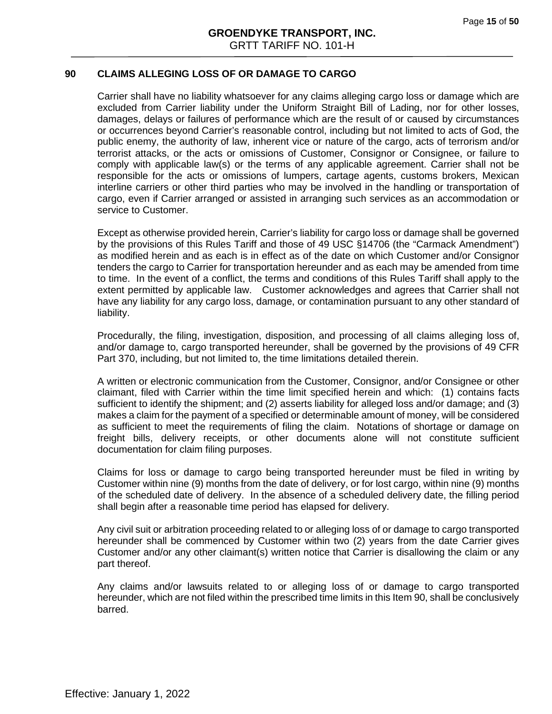## **90 CLAIMS ALLEGING LOSS OF OR DAMAGE TO CARGO**

Carrier shall have no liability whatsoever for any claims alleging cargo loss or damage which are excluded from Carrier liability under the Uniform Straight Bill of Lading, nor for other losses, damages, delays or failures of performance which are the result of or caused by circumstances or occurrences beyond Carrier's reasonable control, including but not limited to acts of God, the public enemy, the authority of law, inherent vice or nature of the cargo, acts of terrorism and/or terrorist attacks, or the acts or omissions of Customer, Consignor or Consignee, or failure to comply with applicable law(s) or the terms of any applicable agreement. Carrier shall not be responsible for the acts or omissions of lumpers, cartage agents, customs brokers, Mexican interline carriers or other third parties who may be involved in the handling or transportation of cargo, even if Carrier arranged or assisted in arranging such services as an accommodation or service to Customer.

Except as otherwise provided herein, Carrier's liability for cargo loss or damage shall be governed by the provisions of this Rules Tariff and those of 49 USC §14706 (the "Carmack Amendment") as modified herein and as each is in effect as of the date on which Customer and/or Consignor tenders the cargo to Carrier for transportation hereunder and as each may be amended from time to time. In the event of a conflict, the terms and conditions of this Rules Tariff shall apply to the extent permitted by applicable law. Customer acknowledges and agrees that Carrier shall not have any liability for any cargo loss, damage, or contamination pursuant to any other standard of liability.

Procedurally, the filing, investigation, disposition, and processing of all claims alleging loss of, and/or damage to, cargo transported hereunder, shall be governed by the provisions of 49 CFR Part 370, including, but not limited to, the time limitations detailed therein.

A written or electronic communication from the Customer, Consignor, and/or Consignee or other claimant, filed with Carrier within the time limit specified herein and which: (1) contains facts sufficient to identify the shipment; and (2) asserts liability for alleged loss and/or damage; and (3) makes a claim for the payment of a specified or determinable amount of money, will be considered as sufficient to meet the requirements of filing the claim. Notations of shortage or damage on freight bills, delivery receipts, or other documents alone will not constitute sufficient documentation for claim filing purposes.

Claims for loss or damage to cargo being transported hereunder must be filed in writing by Customer within nine (9) months from the date of delivery, or for lost cargo, within nine (9) months of the scheduled date of delivery. In the absence of a scheduled delivery date, the filling period shall begin after a reasonable time period has elapsed for delivery.

Any civil suit or arbitration proceeding related to or alleging loss of or damage to cargo transported hereunder shall be commenced by Customer within two (2) years from the date Carrier gives Customer and/or any other claimant(s) written notice that Carrier is disallowing the claim or any part thereof.

Any claims and/or lawsuits related to or alleging loss of or damage to cargo transported hereunder, which are not filed within the prescribed time limits in this Item 90, shall be conclusively barred.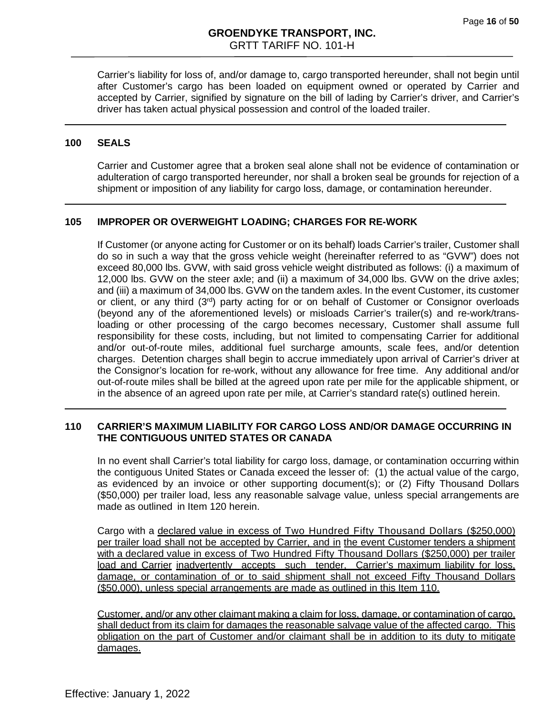Carrier's liability for loss of, and/or damage to, cargo transported hereunder, shall not begin until after Customer's cargo has been loaded on equipment owned or operated by Carrier and accepted by Carrier, signified by signature on the bill of lading by Carrier's driver, and Carrier's driver has taken actual physical possession and control of the loaded trailer.

#### **100 SEALS**

Carrier and Customer agree that a broken seal alone shall not be evidence of contamination or adulteration of cargo transported hereunder, nor shall a broken seal be grounds for rejection of a shipment or imposition of any liability for cargo loss, damage, or contamination hereunder.

#### **105 IMPROPER OR OVERWEIGHT LOADING; CHARGES FOR RE-WORK**

If Customer (or anyone acting for Customer or on its behalf) loads Carrier's trailer, Customer shall do so in such a way that the gross vehicle weight (hereinafter referred to as "GVW") does not exceed 80,000 lbs. GVW, with said gross vehicle weight distributed as follows: (i) a maximum of 12,000 lbs. GVW on the steer axle; and (ii) a maximum of 34,000 lbs. GVW on the drive axles; and (iii) a maximum of 34,000 lbs. GVW on the tandem axles. In the event Customer, its customer or client, or any third (3<sup>rd</sup>) party acting for or on behalf of Customer or Consignor overloads (beyond any of the aforementioned levels) or misloads Carrier's trailer(s) and re-work/transloading or other processing of the cargo becomes necessary, Customer shall assume full responsibility for these costs, including, but not limited to compensating Carrier for additional and/or out-of-route miles, additional fuel surcharge amounts, scale fees, and/or detention charges. Detention charges shall begin to accrue immediately upon arrival of Carrier's driver at the Consignor's location for re-work, without any allowance for free time. Any additional and/or out-of-route miles shall be billed at the agreed upon rate per mile for the applicable shipment, or in the absence of an agreed upon rate per mile, at Carrier's standard rate(s) outlined herein.

# **110 CARRIER'S MAXIMUM LIABILITY FOR CARGO LOSS AND/OR DAMAGE OCCURRING IN THE CONTIGUOUS UNITED STATES OR CANADA**

In no event shall Carrier's total liability for cargo loss, damage, or contamination occurring within the contiguous United States or Canada exceed the lesser of: (1) the actual value of the cargo, as evidenced by an invoice or other supporting document(s); or (2) Fifty Thousand Dollars (\$50,000) per trailer load, less any reasonable salvage value, unless special arrangements are made as outlined in Item 120 herein.

Cargo with a declared value in excess of Two Hundred Fifty Thousand Dollars (\$250,000) per trailer load shall not be accepted by Carrier, and in the event Customer tenders a shipment with a declared value in excess of Two Hundred Fifty Thousand Dollars (\$250,000) per trailer load and Carrier inadvertently accepts such tender, Carrier's maximum liability for loss, damage, or contamination of or to said shipment shall not exceed Fifty Thousand Dollars (\$50,000), unless special arrangements are made as outlined in this Item 110.

Customer, and/or any other claimant making a claim for loss, damage, or contamination of cargo, shall deduct from its claim for damages the reasonable salvage value of the affected cargo. This obligation on the part of Customer and/or claimant shall be in addition to its duty to mitigate damages.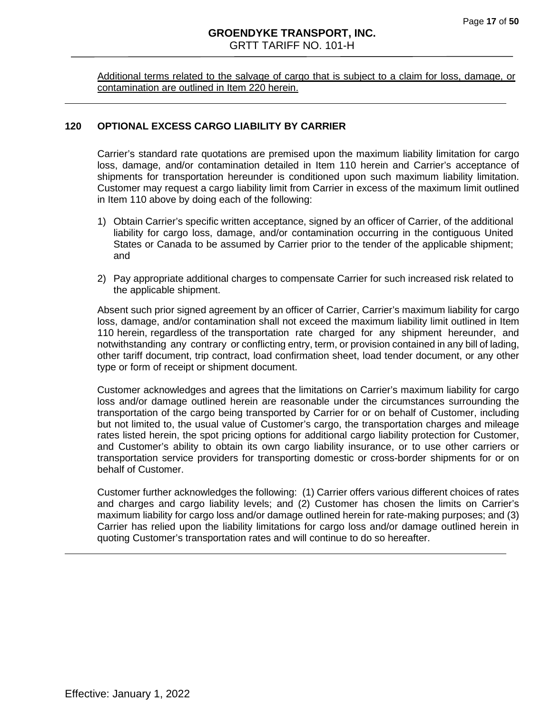Additional terms related to the salvage of cargo that is subject to a claim for loss, damage, or contamination are outlined in Item 220 herein.

#### **120 OPTIONAL EXCESS CARGO LIABILITY BY CARRIER**

Carrier's standard rate quotations are premised upon the maximum liability limitation for cargo loss, damage, and/or contamination detailed in Item 110 herein and Carrier's acceptance of shipments for transportation hereunder is conditioned upon such maximum liability limitation. Customer may request a cargo liability limit from Carrier in excess of the maximum limit outlined in Item 110 above by doing each of the following:

- 1) Obtain Carrier's specific written acceptance, signed by an officer of Carrier, of the additional liability for cargo loss, damage, and/or contamination occurring in the contiguous United States or Canada to be assumed by Carrier prior to the tender of the applicable shipment; and
- 2) Pay appropriate additional charges to compensate Carrier for such increased risk related to the applicable shipment.

Absent such prior signed agreement by an officer of Carrier, Carrier's maximum liability for cargo loss, damage, and/or contamination shall not exceed the maximum liability limit outlined in Item 110 herein, regardless of the transportation rate charged for any shipment hereunder, and notwithstanding any contrary or conflicting entry, term, or provision contained in any bill of lading, other tariff document, trip contract, load confirmation sheet, load tender document, or any other type or form of receipt or shipment document.

Customer acknowledges and agrees that the limitations on Carrier's maximum liability for cargo loss and/or damage outlined herein are reasonable under the circumstances surrounding the transportation of the cargo being transported by Carrier for or on behalf of Customer, including but not limited to, the usual value of Customer's cargo, the transportation charges and mileage rates listed herein, the spot pricing options for additional cargo liability protection for Customer, and Customer's ability to obtain its own cargo liability insurance, or to use other carriers or transportation service providers for transporting domestic or cross-border shipments for or on behalf of Customer.

Customer further acknowledges the following: (1) Carrier offers various different choices of rates and charges and cargo liability levels; and (2) Customer has chosen the limits on Carrier's maximum liability for cargo loss and/or damage outlined herein for rate-making purposes; and (3) Carrier has relied upon the liability limitations for cargo loss and/or damage outlined herein in quoting Customer's transportation rates and will continue to do so hereafter.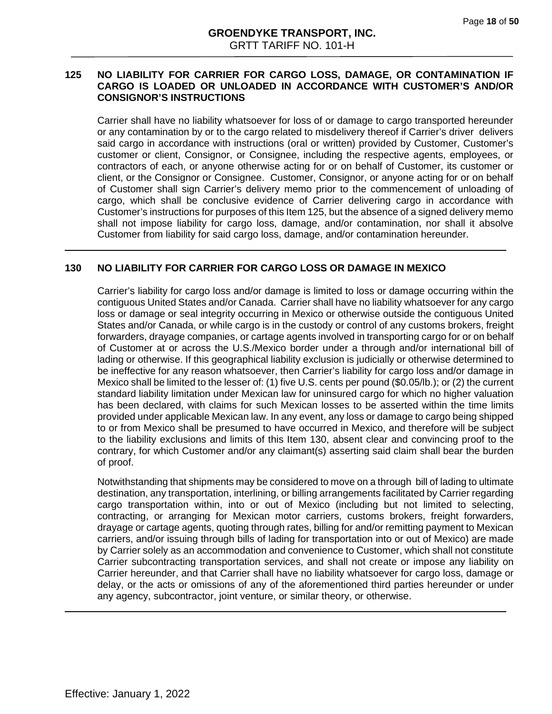#### **125 NO LIABILITY FOR CARRIER FOR CARGO LOSS, DAMAGE, OR CONTAMINATION IF CARGO IS LOADED OR UNLOADED IN ACCORDANCE WITH CUSTOMER'S AND/OR CONSIGNOR'S INSTRUCTIONS**

Carrier shall have no liability whatsoever for loss of or damage to cargo transported hereunder or any contamination by or to the cargo related to misdelivery thereof if Carrier's driver delivers said cargo in accordance with instructions (oral or written) provided by Customer, Customer's customer or client, Consignor, or Consignee, including the respective agents, employees, or contractors of each, or anyone otherwise acting for or on behalf of Customer, its customer or client, or the Consignor or Consignee. Customer, Consignor, or anyone acting for or on behalf of Customer shall sign Carrier's delivery memo prior to the commencement of unloading of cargo, which shall be conclusive evidence of Carrier delivering cargo in accordance with Customer's instructions for purposes of this Item 125, but the absence of a signed delivery memo shall not impose liability for cargo loss, damage, and/or contamination, nor shall it absolve Customer from liability for said cargo loss, damage, and/or contamination hereunder.

#### **130 NO LIABILITY FOR CARRIER FOR CARGO LOSS OR DAMAGE IN MEXICO**

Carrier's liability for cargo loss and/or damage is limited to loss or damage occurring within the contiguous United States and/or Canada. Carrier shall have no liability whatsoever for any cargo loss or damage or seal integrity occurring in Mexico or otherwise outside the contiguous United States and/or Canada, or while cargo is in the custody or control of any customs brokers, freight forwarders, drayage companies, or cartage agents involved in transporting cargo for or on behalf of Customer at or across the U.S./Mexico border under a through and/or international bill of lading or otherwise. If this geographical liability exclusion is judicially or otherwise determined to be ineffective for any reason whatsoever, then Carrier's liability for cargo loss and/or damage in Mexico shall be limited to the lesser of: (1) five U.S. cents per pound (\$0.05/lb.); or (2) the current standard liability limitation under Mexican law for uninsured cargo for which no higher valuation has been declared, with claims for such Mexican losses to be asserted within the time limits provided under applicable Mexican law. In any event, any loss or damage to cargo being shipped to or from Mexico shall be presumed to have occurred in Mexico, and therefore will be subject to the liability exclusions and limits of this Item 130, absent clear and convincing proof to the contrary, for which Customer and/or any claimant(s) asserting said claim shall bear the burden of proof.

Notwithstanding that shipments may be considered to move on a through bill of lading to ultimate destination, any transportation, interlining, or billing arrangements facilitated by Carrier regarding cargo transportation within, into or out of Mexico (including but not limited to selecting, contracting, or arranging for Mexican motor carriers, customs brokers, freight forwarders, drayage or cartage agents, quoting through rates, billing for and/or remitting payment to Mexican carriers, and/or issuing through bills of lading for transportation into or out of Mexico) are made by Carrier solely as an accommodation and convenience to Customer, which shall not constitute Carrier subcontracting transportation services, and shall not create or impose any liability on Carrier hereunder, and that Carrier shall have no liability whatsoever for cargo loss, damage or delay, or the acts or omissions of any of the aforementioned third parties hereunder or under any agency, subcontractor, joint venture, or similar theory, or otherwise.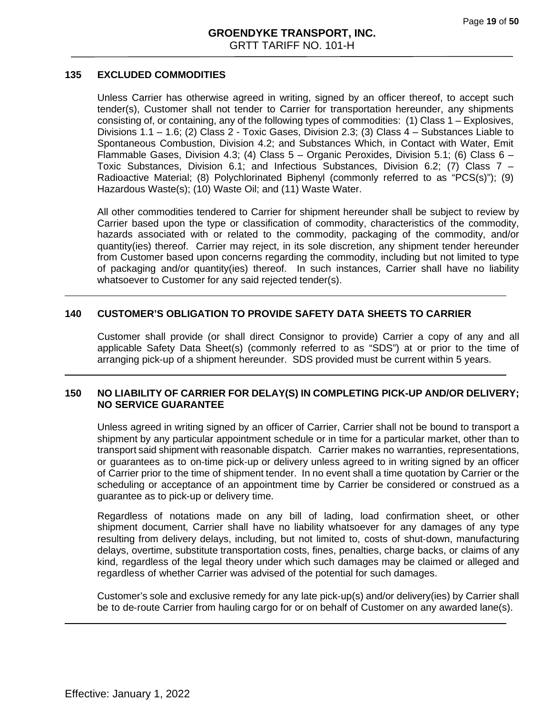## **135 EXCLUDED COMMODITIES**

Unless Carrier has otherwise agreed in writing, signed by an officer thereof, to accept such tender(s), Customer shall not tender to Carrier for transportation hereunder, any shipments consisting of, or containing, any of the following types of commodities: (1) Class 1 – Explosives, Divisions 1.1 – 1.6; (2) Class 2 - Toxic Gases, Division 2.3; (3) Class 4 – Substances Liable to Spontaneous Combustion, Division 4.2; and Substances Which, in Contact with Water, Emit Flammable Gases, Division 4.3; (4) Class  $5 -$  Organic Peroxides, Division 5.1; (6) Class 6 – Toxic Substances, Division 6.1; and Infectious Substances, Division 6.2; (7) Class 7 – Radioactive Material; (8) Polychlorinated Biphenyl (commonly referred to as "PCS(s)"); (9) Hazardous Waste(s); (10) Waste Oil; and (11) Waste Water.

All other commodities tendered to Carrier for shipment hereunder shall be subject to review by Carrier based upon the type or classification of commodity, characteristics of the commodity, hazards associated with or related to the commodity, packaging of the commodity, and/or quantity(ies) thereof. Carrier may reject, in its sole discretion, any shipment tender hereunder from Customer based upon concerns regarding the commodity, including but not limited to type of packaging and/or quantity(ies) thereof. In such instances, Carrier shall have no liability whatsoever to Customer for any said rejected tender(s).

# **140 CUSTOMER'S OBLIGATION TO PROVIDE SAFETY DATA SHEETS TO CARRIER**

Customer shall provide (or shall direct Consignor to provide) Carrier a copy of any and all applicable Safety Data Sheet(s) (commonly referred to as "SDS") at or prior to the time of arranging pick-up of a shipment hereunder. SDS provided must be current within 5 years.

## **150 NO LIABILITY OF CARRIER FOR DELAY(S) IN COMPLETING PICK-UP AND/OR DELIVERY; NO SERVICE GUARANTEE**

Unless agreed in writing signed by an officer of Carrier, Carrier shall not be bound to transport a shipment by any particular appointment schedule or in time for a particular market, other than to transport said shipment with reasonable dispatch. Carrier makes no warranties, representations, or guarantees as to on‐time pick‐up or delivery unless agreed to in writing signed by an officer of Carrier prior to the time of shipment tender. In no event shall a time quotation by Carrier or the scheduling or acceptance of an appointment time by Carrier be considered or construed as a guarantee as to pick-up or delivery time.

Regardless of notations made on any bill of lading, load confirmation sheet, or other shipment document, Carrier shall have no liability whatsoever for any damages of any type resulting from delivery delays, including, but not limited to, costs of shut‐down, manufacturing delays, overtime, substitute transportation costs, fines, penalties, charge backs, or claims of any kind, regardless of the legal theory under which such damages may be claimed or alleged and regardless of whether Carrier was advised of the potential for such damages.

Customer's sole and exclusive remedy for any late pick‐up(s) and/or delivery(ies) by Carrier shall be to de-route Carrier from hauling cargo for or on behalf of Customer on any awarded lane(s).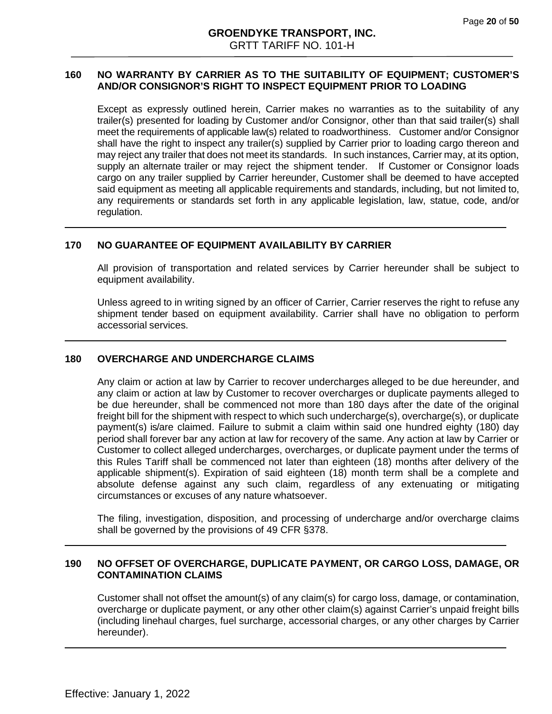# **160 NO WARRANTY BY CARRIER AS TO THE SUITABILITY OF EQUIPMENT; CUSTOMER'S AND/OR CONSIGNOR'S RIGHT TO INSPECT EQUIPMENT PRIOR TO LOADING**

Except as expressly outlined herein, Carrier makes no warranties as to the suitability of any trailer(s) presented for loading by Customer and/or Consignor, other than that said trailer(s) shall meet the requirements of applicable law(s) related to roadworthiness. Customer and/or Consignor shall have the right to inspect any trailer(s) supplied by Carrier prior to loading cargo thereon and may reject any trailer that does not meet its standards. In such instances, Carrier may, at its option, supply an alternate trailer or may reject the shipment tender. If Customer or Consignor loads cargo on any trailer supplied by Carrier hereunder, Customer shall be deemed to have accepted said equipment as meeting all applicable requirements and standards, including, but not limited to, any requirements or standards set forth in any applicable legislation, law, statue, code, and/or regulation.

## **170 NO GUARANTEE OF EQUIPMENT AVAILABILITY BY CARRIER**

All provision of transportation and related services by Carrier hereunder shall be subject to equipment availability.

Unless agreed to in writing signed by an officer of Carrier, Carrier reserves the right to refuse any shipment tender based on equipment availability. Carrier shall have no obligation to perform accessorial services.

#### **180 OVERCHARGE AND UNDERCHARGE CLAIMS**

Any claim or action at law by Carrier to recover undercharges alleged to be due hereunder, and any claim or action at law by Customer to recover overcharges or duplicate payments alleged to be due hereunder, shall be commenced not more than 180 days after the date of the original freight bill for the shipment with respect to which such undercharge(s), overcharge(s), or duplicate payment(s) is/are claimed. Failure to submit a claim within said one hundred eighty (180) day period shall forever bar any action at law for recovery of the same. Any action at law by Carrier or Customer to collect alleged undercharges, overcharges, or duplicate payment under the terms of this Rules Tariff shall be commenced not later than eighteen (18) months after delivery of the applicable shipment(s). Expiration of said eighteen (18) month term shall be a complete and absolute defense against any such claim, regardless of any extenuating or mitigating circumstances or excuses of any nature whatsoever.

The filing, investigation, disposition, and processing of undercharge and/or overcharge claims shall be governed by the provisions of 49 CFR §378.

## **190 NO OFFSET OF OVERCHARGE, DUPLICATE PAYMENT, OR CARGO LOSS, DAMAGE, OR CONTAMINATION CLAIMS**

Customer shall not offset the amount(s) of any claim(s) for cargo loss, damage, or contamination, overcharge or duplicate payment, or any other other claim(s) against Carrier's unpaid freight bills (including linehaul charges, fuel surcharge, accessorial charges, or any other charges by Carrier hereunder).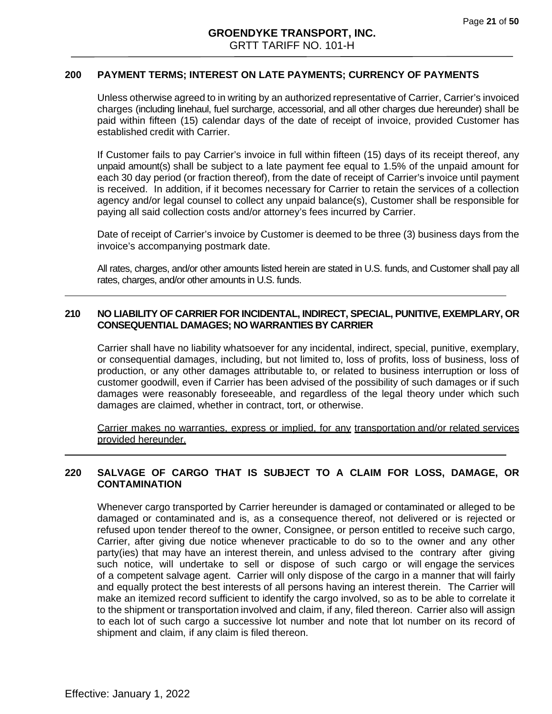#### **200 PAYMENT TERMS; INTEREST ON LATE PAYMENTS; CURRENCY OF PAYMENTS**

Unless otherwise agreed to in writing by an authorized representative of Carrier, Carrier's invoiced charges (including linehaul, fuel surcharge, accessorial, and all other charges due hereunder) shall be paid within fifteen (15) calendar days of the date of receipt of invoice, provided Customer has established credit with Carrier.

If Customer fails to pay Carrier's invoice in full within fifteen (15) days of its receipt thereof, any unpaid amount(s) shall be subject to a late payment fee equal to 1.5% of the unpaid amount for each 30 day period (or fraction thereof), from the date of receipt of Carrier's invoice until payment is received. In addition, if it becomes necessary for Carrier to retain the services of a collection agency and/or legal counsel to collect any unpaid balance(s), Customer shall be responsible for paying all said collection costs and/or attorney's fees incurred by Carrier.

Date of receipt of Carrier's invoice by Customer is deemed to be three (3) business days from the invoice's accompanying postmark date.

All rates, charges, and/or other amounts listed herein are stated in U.S. funds, and Customer shall pay all rates, charges, and/or other amounts in U.S. funds.

#### **210 NO LIABILITY OF CARRIER FOR INCIDENTAL, INDIRECT, SPECIAL, PUNITIVE, EXEMPLARY, OR CONSEQUENTIAL DAMAGES; NO WARRANTIES BY CARRIER**

Carrier shall have no liability whatsoever for any incidental, indirect, special, punitive, exemplary, or consequential damages, including, but not limited to, loss of profits, loss of business, loss of production, or any other damages attributable to, or related to business interruption or loss of customer goodwill, even if Carrier has been advised of the possibility of such damages or if such damages were reasonably foreseeable, and regardless of the legal theory under which such damages are claimed, whether in contract, tort, or otherwise.

Carrier makes no warranties, express or implied, for any transportation and/or related services provided hereunder.

## **220 SALVAGE OF CARGO THAT IS SUBJECT TO A CLAIM FOR LOSS, DAMAGE, OR CONTAMINATION**

Whenever cargo transported by Carrier hereunder is damaged or contaminated or alleged to be damaged or contaminated and is, as a consequence thereof, not delivered or is rejected or refused upon tender thereof to the owner, Consignee, or person entitled to receive such cargo, Carrier, after giving due notice whenever practicable to do so to the owner and any other party(ies) that may have an interest therein, and unless advised to the contrary after giving such notice, will undertake to sell or dispose of such cargo or will engage the services of a competent salvage agent. Carrier will only dispose of the cargo in a manner that will fairly and equally protect the best interests of all persons having an interest therein. The Carrier will make an itemized record sufficient to identify the cargo involved, so as to be able to correlate it to the shipment or transportation involved and claim, if any, filed thereon. Carrier also will assign to each lot of such cargo a successive lot number and note that lot number on its record of shipment and claim, if any claim is filed thereon.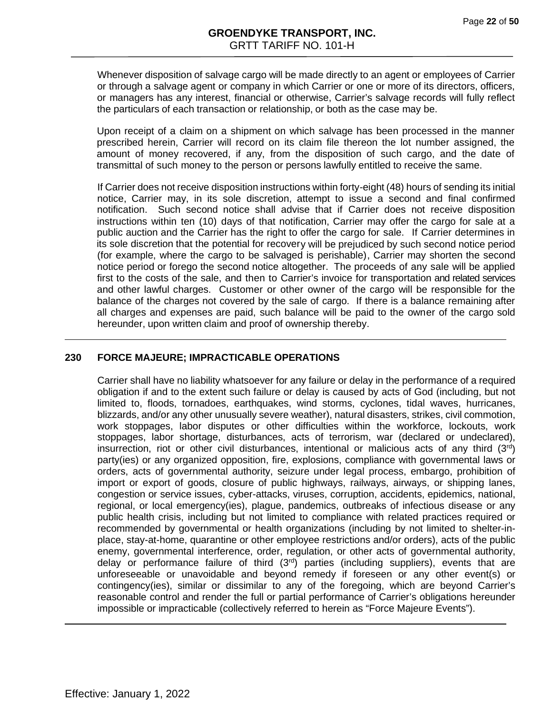Whenever disposition of salvage cargo will be made directly to an agent or employees of Carrier or through a salvage agent or company in which Carrier or one or more of its directors, officers, or managers has any interest, financial or otherwise, Carrier's salvage records will fully reflect the particulars of each transaction or relationship, or both as the case may be.

Upon receipt of a claim on a shipment on which salvage has been processed in the manner prescribed herein, Carrier will record on its claim file thereon the lot number assigned, the amount of money recovered, if any, from the disposition of such cargo, and the date of transmittal of such money to the person or persons lawfully entitled to receive the same.

If Carrier does not receive disposition instructions within forty-eight (48) hours of sending its initial notice, Carrier may, in its sole discretion, attempt to issue a second and final confirmed notification. Such second notice shall advise that if Carrier does not receive disposition instructions within ten (10) days of that notification, Carrier may offer the cargo for sale at a public auction and the Carrier has the right to offer the cargo for sale. If Carrier determines in its sole discretion that the potential for recovery will be prejudiced by such second notice period (for example, where the cargo to be salvaged is perishable), Carrier may shorten the second notice period or forego the second notice altogether. The proceeds of any sale will be applied first to the costs of the sale, and then to Carrier's invoice for transportation and related services and other lawful charges. Customer or other owner of the cargo will be responsible for the balance of the charges not covered by the sale of cargo. If there is a balance remaining after all charges and expenses are paid, such balance will be paid to the owner of the cargo sold hereunder, upon written claim and proof of ownership thereby.

#### **230 FORCE MAJEURE; IMPRACTICABLE OPERATIONS**

Carrier shall have no liability whatsoever for any failure or delay in the performance of a required obligation if and to the extent such failure or delay is caused by acts of God (including, but not limited to, floods, tornadoes, earthquakes, wind storms, cyclones, tidal waves, hurricanes, blizzards, and/or any other unusually severe weather), natural disasters, strikes, civil commotion, work stoppages, labor disputes or other difficulties within the workforce, lockouts, work stoppages, labor shortage, disturbances, acts of terrorism, war (declared or undeclared), insurrection, riot or other civil disturbances, intentional or malicious acts of any third  $(3<sup>rd</sup>)$ party(ies) or any organized opposition, fire, explosions, compliance with governmental laws or orders, acts of governmental authority, seizure under legal process, embargo, prohibition of import or export of goods, closure of public highways, railways, airways, or shipping lanes, congestion or service issues, cyber-attacks, viruses, corruption, accidents, epidemics, national, regional, or local emergency(ies), plague, pandemics, outbreaks of infectious disease or any public health crisis, including but not limited to compliance with related practices required or recommended by governmental or health organizations (including by not limited to shelter-inplace, stay-at-home, quarantine or other employee restrictions and/or orders), acts of the public enemy, governmental interference, order, regulation, or other acts of governmental authority, delay or performance failure of third  $(3<sup>rd</sup>)$  parties (including suppliers), events that are unforeseeable or unavoidable and beyond remedy if foreseen or any other event(s) or contingency(ies), similar or dissimilar to any of the foregoing, which are beyond Carrier's reasonable control and render the full or partial performance of Carrier's obligations hereunder impossible or impracticable (collectively referred to herein as "Force Majeure Events").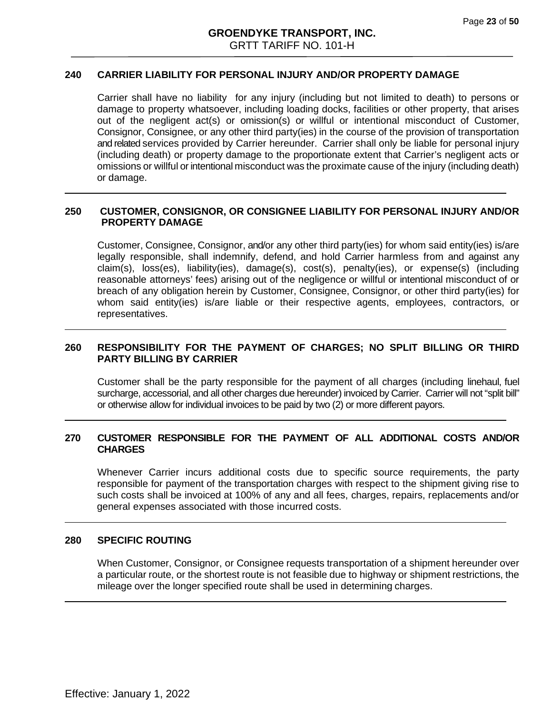## **240 CARRIER LIABILITY FOR PERSONAL INJURY AND/OR PROPERTY DAMAGE**

Carrier shall have no liability for any injury (including but not limited to death) to persons or damage to property whatsoever, including loading docks, facilities or other property, that arises out of the negligent act(s) or omission(s) or willful or intentional misconduct of Customer, Consignor, Consignee, or any other third party(ies) in the course of the provision of transportation and related services provided by Carrier hereunder. Carrier shall only be liable for personal injury (including death) or property damage to the proportionate extent that Carrier's negligent acts or omissions or willful or intentional misconduct was the proximate cause of the injury (including death) or damage.

#### **250 CUSTOMER, CONSIGNOR, OR CONSIGNEE LIABILITY FOR PERSONAL INJURY AND/OR PROPERTY DAMAGE**

Customer, Consignee, Consignor, and/or any other third party(ies) for whom said entity(ies) is/are legally responsible, shall indemnify, defend, and hold Carrier harmless from and against any claim(s), loss(es), liability(ies), damage(s), cost(s), penalty(ies), or expense(s) (including reasonable attorneys' fees) arising out of the negligence or willful or intentional misconduct of or breach of any obligation herein by Customer, Consignee, Consignor, or other third party(ies) for whom said entity(ies) is/are liable or their respective agents, employees, contractors, or representatives.

# **260 RESPONSIBILITY FOR THE PAYMENT OF CHARGES; NO SPLIT BILLING OR THIRD PARTY BILLING BY CARRIER**

Customer shall be the party responsible for the payment of all charges (including linehaul, fuel surcharge, accessorial, and all other charges due hereunder) invoiced by Carrier. Carrier will not "split bill" or otherwise allow for individual invoices to be paid by two (2) or more different payors.

## **270 CUSTOMER RESPONSIBLE FOR THE PAYMENT OF ALL ADDITIONAL COSTS AND/OR CHARGES**

Whenever Carrier incurs additional costs due to specific source requirements, the party responsible for payment of the transportation charges with respect to the shipment giving rise to such costs shall be invoiced at 100% of any and all fees, charges, repairs, replacements and/or general expenses associated with those incurred costs.

#### **280 SPECIFIC ROUTING**

When Customer, Consignor, or Consignee requests transportation of a shipment hereunder over a particular route, or the shortest route is not feasible due to highway or shipment restrictions, the mileage over the longer specified route shall be used in determining charges.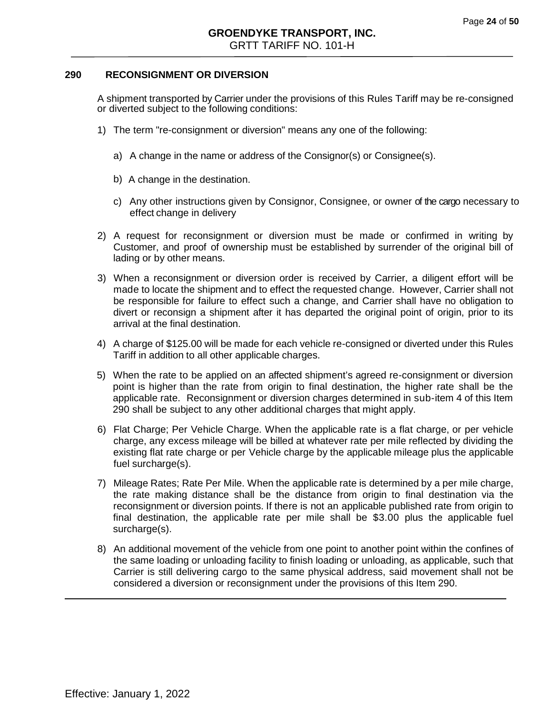#### **290 RECONSIGNMENT OR DIVERSION**

A shipment transported by Carrier under the provisions of this Rules Tariff may be re-consigned or diverted subject to the following conditions:

- 1) The term "re-consignment or diversion" means any one of the following:
	- a) A change in the name or address of the Consignor(s) or Consignee(s).
	- b) A change in the destination.
	- c) Any other instructions given by Consignor, Consignee, or owner of the cargo necessary to effect change in delivery
- 2) A request for reconsignment or diversion must be made or confirmed in writing by Customer, and proof of ownership must be established by surrender of the original bill of lading or by other means.
- 3) When a reconsignment or diversion order is received by Carrier, a diligent effort will be made to locate the shipment and to effect the requested change. However, Carrier shall not be responsible for failure to effect such a change, and Carrier shall have no obligation to divert or reconsign a shipment after it has departed the original point of origin, prior to its arrival at the final destination.
- 4) A charge of \$125.00 will be made for each vehicle re-consigned or diverted under this Rules Tariff in addition to all other applicable charges.
- 5) When the rate to be applied on an affected shipment's agreed re-consignment or diversion point is higher than the rate from origin to final destination, the higher rate shall be the applicable rate. Reconsignment or diversion charges determined in sub-item 4 of this Item 290 shall be subject to any other additional charges that might apply.
- 6) Flat Charge; Per Vehicle Charge. When the applicable rate is a flat charge, or per vehicle charge, any excess mileage will be billed at whatever rate per mile reflected by dividing the existing flat rate charge or per Vehicle charge by the applicable mileage plus the applicable fuel surcharge(s).
- 7) Mileage Rates; Rate Per Mile. When the applicable rate is determined by a per mile charge, the rate making distance shall be the distance from origin to final destination via the reconsignment or diversion points. If there is not an applicable published rate from origin to final destination, the applicable rate per mile shall be \$3.00 plus the applicable fuel surcharge(s).
- 8) An additional movement of the vehicle from one point to another point within the confines of the same loading or unloading facility to finish loading or unloading, as applicable, such that Carrier is still delivering cargo to the same physical address, said movement shall not be considered a diversion or reconsignment under the provisions of this Item 290.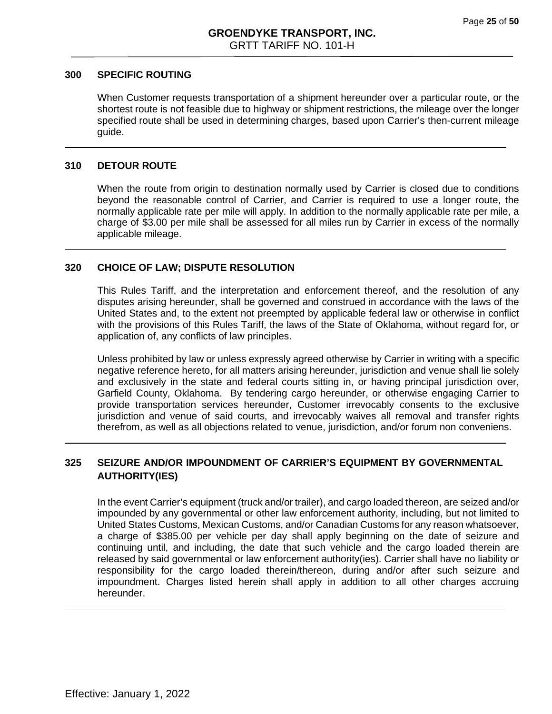#### **300 SPECIFIC ROUTING**

When Customer requests transportation of a shipment hereunder over a particular route, or the shortest route is not feasible due to highway or shipment restrictions, the mileage over the longer specified route shall be used in determining charges, based upon Carrier's then-current mileage guide.

#### **310 DETOUR ROUTE**

When the route from origin to destination normally used by Carrier is closed due to conditions beyond the reasonable control of Carrier, and Carrier is required to use a longer route, the normally applicable rate per mile will apply. In addition to the normally applicable rate per mile, a charge of \$3.00 per mile shall be assessed for all miles run by Carrier in excess of the normally applicable mileage.

#### **320 CHOICE OF LAW; DISPUTE RESOLUTION**

This Rules Tariff, and the interpretation and enforcement thereof, and the resolution of any disputes arising hereunder, shall be governed and construed in accordance with the laws of the United States and, to the extent not preempted by applicable federal law or otherwise in conflict with the provisions of this Rules Tariff, the laws of the State of Oklahoma, without regard for, or application of, any conflicts of law principles.

Unless prohibited by law or unless expressly agreed otherwise by Carrier in writing with a specific negative reference hereto, for all matters arising hereunder, jurisdiction and venue shall lie solely and exclusively in the state and federal courts sitting in, or having principal jurisdiction over, Garfield County, Oklahoma. By tendering cargo hereunder, or otherwise engaging Carrier to provide transportation services hereunder, Customer irrevocably consents to the exclusive jurisdiction and venue of said courts, and irrevocably waives all removal and transfer rights therefrom, as well as all objections related to venue, jurisdiction, and/or forum non conveniens.

# **325 SEIZURE AND/OR IMPOUNDMENT OF CARRIER'S EQUIPMENT BY GOVERNMENTAL AUTHORITY(IES)**

In the event Carrier's equipment (truck and/or trailer), and cargo loaded thereon, are seized and/or impounded by any governmental or other law enforcement authority, including, but not limited to United States Customs, Mexican Customs, and/or Canadian Customs for any reason whatsoever, a charge of \$385.00 per vehicle per day shall apply beginning on the date of seizure and continuing until, and including, the date that such vehicle and the cargo loaded therein are released by said governmental or law enforcement authority(ies). Carrier shall have no liability or responsibility for the cargo loaded therein/thereon, during and/or after such seizure and impoundment. Charges listed herein shall apply in addition to all other charges accruing hereunder.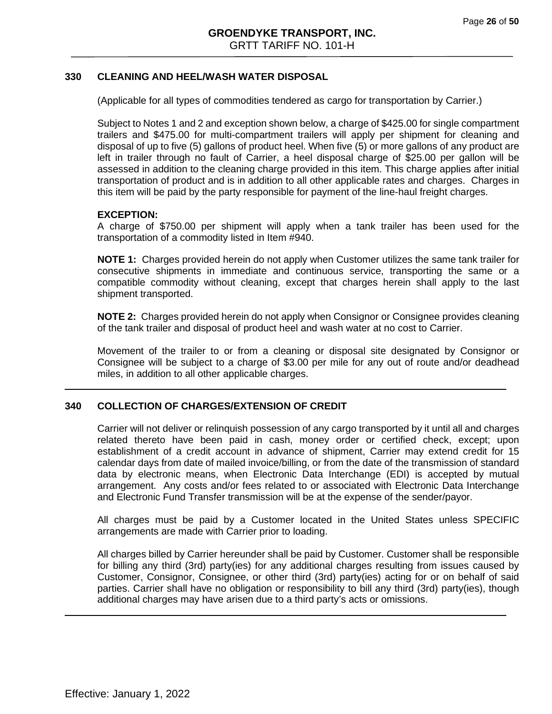#### **330 CLEANING AND HEEL/WASH WATER DISPOSAL**

(Applicable for all types of commodities tendered as cargo for transportation by Carrier.)

Subject to Notes 1 and 2 and exception shown below, a charge of \$425.00 for single compartment trailers and \$475.00 for multi-compartment trailers will apply per shipment for cleaning and disposal of up to five (5) gallons of product heel. When five (5) or more gallons of any product are left in trailer through no fault of Carrier, a heel disposal charge of \$25.00 per gallon will be assessed in addition to the cleaning charge provided in this item. This charge applies after initial transportation of product and is in addition to all other applicable rates and charges. Charges in this item will be paid by the party responsible for payment of the line-haul freight charges.

#### **EXCEPTION:**

A charge of \$750.00 per shipment will apply when a tank trailer has been used for the transportation of a commodity listed in Item #940.

**NOTE 1:** Charges provided herein do not apply when Customer utilizes the same tank trailer for consecutive shipments in immediate and continuous service, transporting the same or a compatible commodity without cleaning, except that charges herein shall apply to the last shipment transported.

**NOTE 2:** Charges provided herein do not apply when Consignor or Consignee provides cleaning of the tank trailer and disposal of product heel and wash water at no cost to Carrier.

Movement of the trailer to or from a cleaning or disposal site designated by Consignor or Consignee will be subject to a charge of \$3.00 per mile for any out of route and/or deadhead miles, in addition to all other applicable charges.

#### **340 COLLECTION OF CHARGES/EXTENSION OF CREDIT**

Carrier will not deliver or relinquish possession of any cargo transported by it until all and charges related thereto have been paid in cash, money order or certified check, except; upon establishment of a credit account in advance of shipment, Carrier may extend credit for 15 calendar days from date of mailed invoice/billing, or from the date of the transmission of standard data by electronic means, when Electronic Data Interchange (EDI) is accepted by mutual arrangement. Any costs and/or fees related to or associated with Electronic Data Interchange and Electronic Fund Transfer transmission will be at the expense of the sender/payor.

All charges must be paid by a Customer located in the United States unless SPECIFIC arrangements are made with Carrier prior to loading.

<span id="page-25-0"></span>All charges billed by Carrier hereunder shall be paid by Customer. Customer shall be responsible for billing any third (3rd) party(ies) for any additional charges resulting from issues caused by Customer, Consignor, Consignee, or other third (3rd) party(ies) acting for or on behalf of said parties. Carrier shall have no obligation or responsibility to bill any third (3rd) party(ies), though additional charges may have arisen due to a third party's acts or omissions.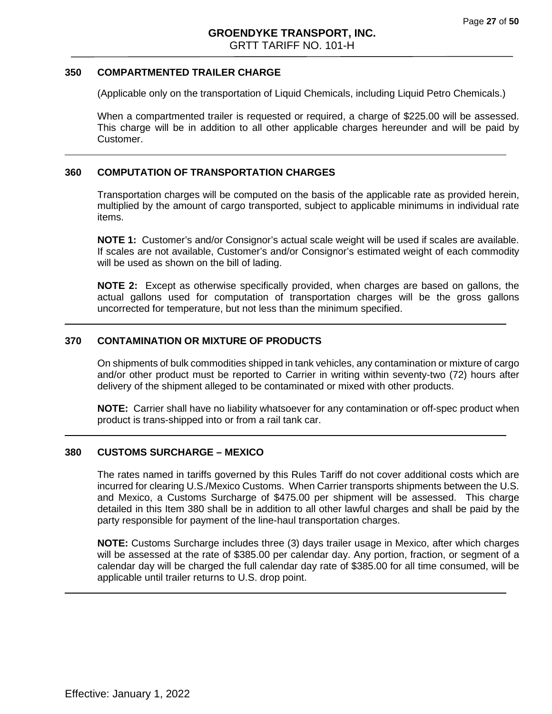#### **350 COMPARTMENTED TRAILER CHARGE**

(Applicable only on the transportation of Liquid Chemicals, including Liquid Petro Chemicals.)

When a compartmented trailer is requested or required, a charge of \$225.00 will be assessed. This charge will be in addition to all other applicable charges hereunder and will be paid by Customer.

#### **360 COMPUTATION OF TRANSPORTATION CHARGES**

Transportation charges will be computed on the basis of the applicable rate as provided herein, multiplied by the amount of cargo transported, subject to applicable minimums in individual rate items.

**NOTE 1:** Customer's and/or Consignor's actual scale weight will be used if scales are available. If scales are not available, Customer's and/or Consignor's estimated weight of each commodity will be used as shown on the bill of lading.

**NOTE 2:** Except as otherwise specifically provided, when charges are based on gallons, the actual gallons used for computation of transportation charges will be the gross gallons uncorrected for temperature, but not less than the minimum specified.

#### **370 CONTAMINATION OR MIXTURE OF PRODUCTS**

On shipments of bulk commodities shipped in tank vehicles, any contamination or mixture of cargo and/or other product must be reported to Carrier in writing within seventy-two (72) hours after delivery of the shipment alleged to be contaminated or mixed with other products.

**NOTE:** Carrier shall have no liability whatsoever for any contamination or off-spec product when product is trans-shipped into or from a rail tank car.

#### <span id="page-26-0"></span>**380 CUSTOMS SURCHARGE – MEXICO**

The rates named in tariffs governed by this Rules Tariff do not cover additional costs which are incurred for clearing U.S./Mexico Customs. When Carrier transports shipments between the U.S. and Mexico, a Customs Surcharge of \$475.00 per shipment will be assessed. This charge detailed in this Item 380 shall be in addition to all other lawful charges and shall be paid by the party responsible for payment of the line-haul transportation charges.

**NOTE:** Customs Surcharge includes three (3) days trailer usage in Mexico, after which charges will be assessed at the rate of \$385.00 per calendar day. Any portion, fraction, or segment of a calendar day will be charged the full calendar day rate of \$385.00 for all time consumed, will be applicable until trailer returns to U.S. drop point.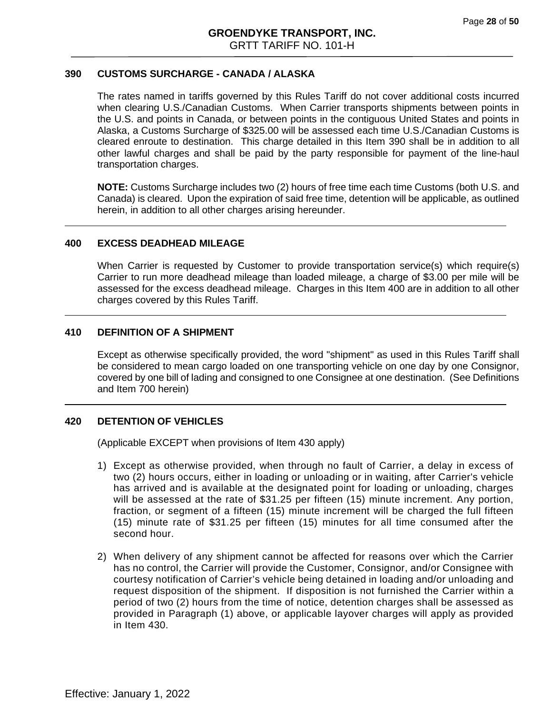## **390 CUSTOMS SURCHARGE - CANADA / ALASKA**

The rates named in tariffs governed by this Rules Tariff do not cover additional costs incurred when clearing U.S./Canadian Customs. When Carrier transports shipments between points in the U.S. and points in Canada, or between points in the contiguous United States and points in Alaska, a Customs Surcharge of \$325.00 will be assessed each time U.S./Canadian Customs is cleared enroute to destination. This charge detailed in this Item 390 shall be in addition to all other lawful charges and shall be paid by the party responsible for payment of the line-haul transportation charges.

**NOTE:** Customs Surcharge includes two (2) hours of free time each time Customs (both U.S. and Canada) is cleared. Upon the expiration of said free time, detention will be applicable, as outlined herein, in addition to all other charges arising hereunder.

#### <span id="page-27-0"></span>**400 EXCESS DEADHEAD MILEAGE**

When Carrier is requested by Customer to provide transportation service(s) which require(s) Carrier to run more deadhead mileage than loaded mileage, a charge of \$3.00 per mile will be assessed for the excess deadhead mileage. Charges in this Item 400 are in addition to all other charges covered by this Rules Tariff.

#### **410 DEFINITION OF A SHIPMENT**

Except as otherwise specifically provided, the word "shipment" as used in this Rules Tariff shall be considered to mean cargo loaded on one transporting vehicle on one day by one Consignor, covered by one bill of lading and consigned to one Consignee at one destination. (See Definitions and Item 700 herein)

#### **420 DETENTION OF VEHICLES**

(Applicable EXCEPT when provisions of Item 430 apply)

- 1) Except as otherwise provided, when through no fault of Carrier, a delay in excess of two (2) hours occurs, either in loading or unloading or in waiting, after Carrier's vehicle has arrived and is available at the designated point for loading or unloading, charges will be assessed at the rate of \$31.25 per fifteen (15) minute increment. Any portion, fraction, or segment of a fifteen (15) minute increment will be charged the full fifteen (15) minute rate of \$31.25 per fifteen (15) minutes for all time consumed after the second hour.
- 2) When delivery of any shipment cannot be affected for reasons over which the Carrier has no control, the Carrier will provide the Customer, Consignor, and/or Consignee with courtesy notification of Carrier's vehicle being detained in loading and/or unloading and request disposition of the shipment. If disposition is not furnished the Carrier within a period of two (2) hours from the time of notice, detention charges shall be assessed as provided in Paragraph (1) above, or applicable layover charges will apply as provided in Item 430.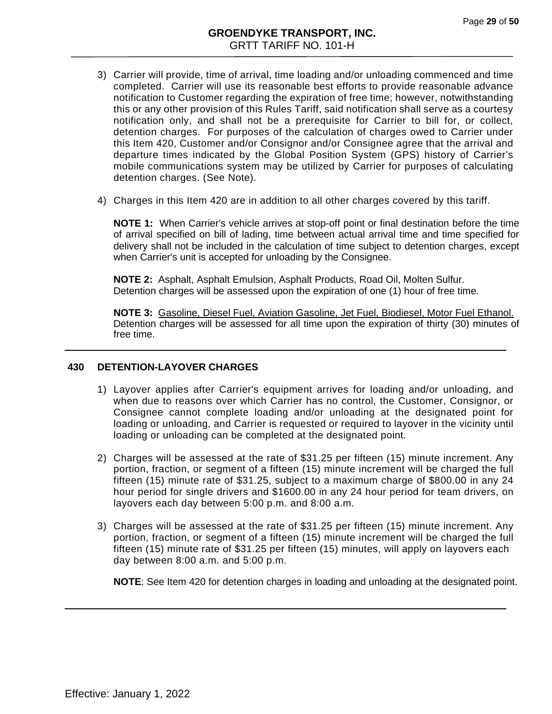- 3) Carrier will provide, time of arrival, time loading and/or unloading commenced and time completed. Carrier will use its reasonable best efforts to provide reasonable advance notification to Customer regarding the expiration of free time; however, notwithstanding this or any other provision of this Rules Tariff, said notification shall serve as a courtesy notification only, and shall not be a prerequisite for Carrier to bill for, or collect, detention charges. For purposes of the calculation of charges owed to Carrier under this Item 420, Customer and/or Consignor and/or Consignee agree that the arrival and departure times indicated by the Global Position System (GPS) history of Carrier's mobile communications system may be utilized by Carrier for purposes of calculating detention charges. (See Note).
- 4) Charges in this Item 420 are in addition to all other charges covered by this tariff.

**NOTE 1:** When Carrier's vehicle arrives at stop-off point or final destination before the time of arrival specified on bill of lading, time between actual arrival time and time specified for delivery shall not be included in the calculation of time subject to detention charges, except when Carrier's unit is accepted for unloading by the Consignee.

**NOTE 2:** Asphalt, Asphalt Emulsion, Asphalt Products, Road Oil, Molten Sulfur. Detention charges will be assessed upon the expiration of one (1) hour of free time.

**NOTE 3:** Gasoline, Diesel Fuel, Aviation Gasoline, Jet Fuel, Biodiesel, Motor Fuel Ethanol. Detention charges will be assessed for all time upon the expiration of thirty (30) minutes of free time.

#### <span id="page-28-0"></span>**430 DETENTION-LAYOVER CHARGES**

- 1) Layover applies after Carrier's equipment arrives for loading and/or unloading, and when due to reasons over which Carrier has no control, the Customer, Consignor, or Consignee cannot complete loading and/or unloading at the designated point for loading or unloading, and Carrier is requested or required to layover in the vicinity until loading or unloading can be completed at the designated point.
- 2) Charges will be assessed at the rate of \$31.25 per fifteen (15) minute increment. Any portion, fraction, or segment of a fifteen (15) minute increment will be charged the full fifteen (15) minute rate of \$31.25, subject to a maximum charge of \$800.00 in any 24 hour period for single drivers and \$1600.00 in any 24 hour period for team drivers, on layovers each day between 5:00 p.m. and 8:00 a.m.
- 3) Charges will be assessed at the rate of \$31.25 per fifteen (15) minute increment. Any portion, fraction, or segment of a fifteen (15) minute increment will be charged the full fifteen (15) minute rate of \$31.25 per fifteen (15) minutes, will apply on layovers each day between 8:00 a.m. and 5:00 p.m.

**NOTE**: See Item 420 for detention charges in loading and unloading at the designated point.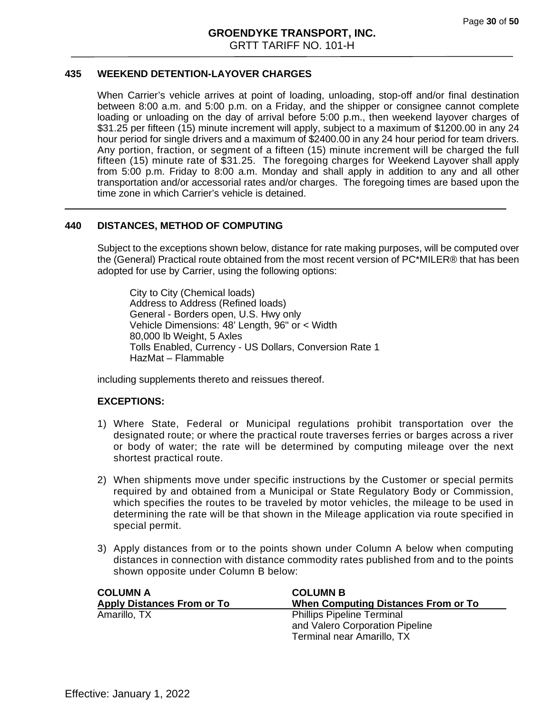## **435 WEEKEND DETENTION-LAYOVER CHARGES**

When Carrier's vehicle arrives at point of loading, unloading, stop-off and/or final destination between 8:00 a.m. and 5:00 p.m. on a Friday, and the shipper or consignee cannot complete loading or unloading on the day of arrival before 5:00 p.m., then weekend layover charges of \$31.25 per fifteen (15) minute increment will apply, subject to a maximum of \$1200.00 in any 24 hour period for single drivers and a maximum of \$2400.00 in any 24 hour period for team drivers. Any portion, fraction, or segment of a fifteen (15) minute increment will be charged the full fifteen (15) minute rate of \$31.25. The foregoing charges for Weekend Layover shall apply from 5:00 p.m. Friday to 8:00 a.m. Monday and shall apply in addition to any and all other transportation and/or accessorial rates and/or charges. The foregoing times are based upon the time zone in which Carrier's vehicle is detained.

#### **440 DISTANCES, METHOD OF COMPUTING**

Subject to the exceptions shown below, distance for rate making purposes, will be computed over the (General) Practical route obtained from the most recent version of PC\*MILER® that has been adopted for use by Carrier, using the following options:

City to City (Chemical loads) Address to Address (Refined loads) General - Borders open, U.S. Hwy only Vehicle Dimensions: 48' Length, 96" or < Width 80,000 lb Weight, 5 Axles Tolls Enabled, Currency - US Dollars, Conversion Rate 1 HazMat – Flammable

including supplements thereto and reissues thereof.

#### **EXCEPTIONS:**

- 1) Where State, Federal or Municipal regulations prohibit transportation over the designated route; or where the practical route traverses ferries or barges across a river or body of water; the rate will be determined by computing mileage over the next shortest practical route.
- 2) When shipments move under specific instructions by the Customer or special permits required by and obtained from a Municipal or State Regulatory Body or Commission, which specifies the routes to be traveled by motor vehicles, the mileage to be used in determining the rate will be that shown in the Mileage application via route specified in special permit.
- 3) Apply distances from or to the points shown under Column A below when computing distances in connection with distance commodity rates published from and to the points shown opposite under Column B below:

| <b>COLUMN A</b>                   | <b>COLUMN B</b>                            |
|-----------------------------------|--------------------------------------------|
| <b>Apply Distances From or To</b> | <b>When Computing Distances From or To</b> |
| Amarillo, TX                      | <b>Phillips Pipeline Terminal</b>          |
|                                   | and Valero Corporation Pipeline            |
|                                   | Terminal near Amarillo, TX                 |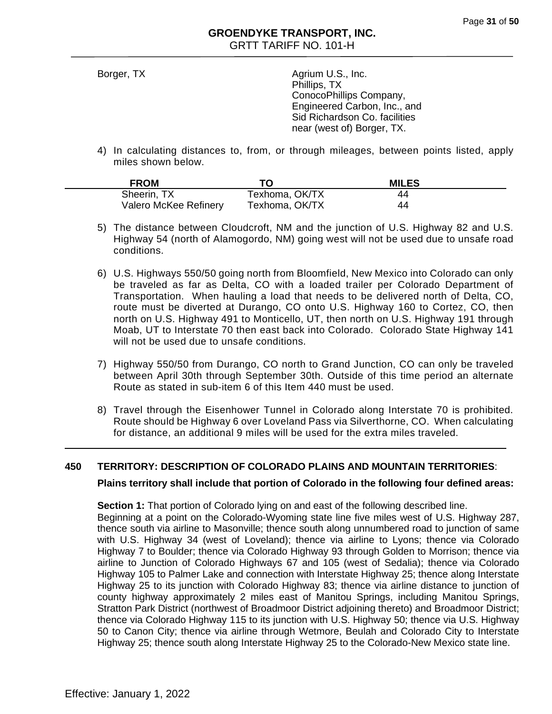Borger, TX Agrium U.S., Inc. Phillips, TX ConocoPhillips Company, Engineered Carbon, Inc., and Sid Richardson Co. facilities near (west of) Borger, TX.

4) In calculating distances to, from, or through mileages, between points listed, apply miles shown below.

| <b>FROM</b>           |                | <b>MILES</b> |
|-----------------------|----------------|--------------|
| Sheerin, TX           | Texhoma, OK/TX | 44           |
| Valero McKee Refinery | Texhoma, OK/TX | 44           |

- 5) The distance between Cloudcroft, NM and the junction of U.S. Highway 82 and U.S. Highway 54 (north of Alamogordo, NM) going west will not be used due to unsafe road conditions.
- 6) U.S. Highways 550/50 going north from Bloomfield, New Mexico into Colorado can only be traveled as far as Delta, CO with a loaded trailer per Colorado Department of Transportation. When hauling a load that needs to be delivered north of Delta, CO, route must be diverted at Durango, CO onto U.S. Highway 160 to Cortez, CO, then north on U.S. Highway 491 to Monticello, UT, then north on U.S. Highway 191 through Moab, UT to Interstate 70 then east back into Colorado. Colorado State Highway 141 will not be used due to unsafe conditions.
- 7) Highway 550/50 from Durango, CO north to Grand Junction, CO can only be traveled between April 30th through September 30th. Outside of this time period an alternate Route as stated in sub-item 6 of this Item 440 must be used.
- 8) Travel through the Eisenhower Tunnel in Colorado along Interstate 70 is prohibited. Route should be Highway 6 over Loveland Pass via Silverthorne, CO. When calculating for distance, an additional 9 miles will be used for the extra miles traveled.

# **450 TERRITORY: DESCRIPTION OF COLORADO PLAINS AND MOUNTAIN TERRITORIES**:

# **Plains territory shall include that portion of Colorado in the following four defined areas:**

**Section 1:** That portion of Colorado lying on and east of the following described line. Beginning at a point on the Colorado-Wyoming state line five miles west of U.S. Highway 287, thence south via airline to Masonville; thence south along unnumbered road to junction of same with U.S. Highway 34 (west of Loveland); thence via airline to Lyons; thence via Colorado Highway 7 to Boulder; thence via Colorado Highway 93 through Golden to Morrison; thence via airline to Junction of Colorado Highways 67 and 105 (west of Sedalia); thence via Colorado Highway 105 to Palmer Lake and connection with Interstate Highway 25; thence along Interstate Highway 25 to its junction with Colorado Highway 83; thence via airline distance to junction of county highway approximately 2 miles east of Manitou Springs, including Manitou Springs, Stratton Park District (northwest of Broadmoor District adjoining thereto) and Broadmoor District; thence via Colorado Highway 115 to its junction with U.S. Highway 50; thence via U.S. Highway 50 to Canon City; thence via airline through Wetmore, Beulah and Colorado City to Interstate Highway 25; thence south along Interstate Highway 25 to the Colorado-New Mexico state line.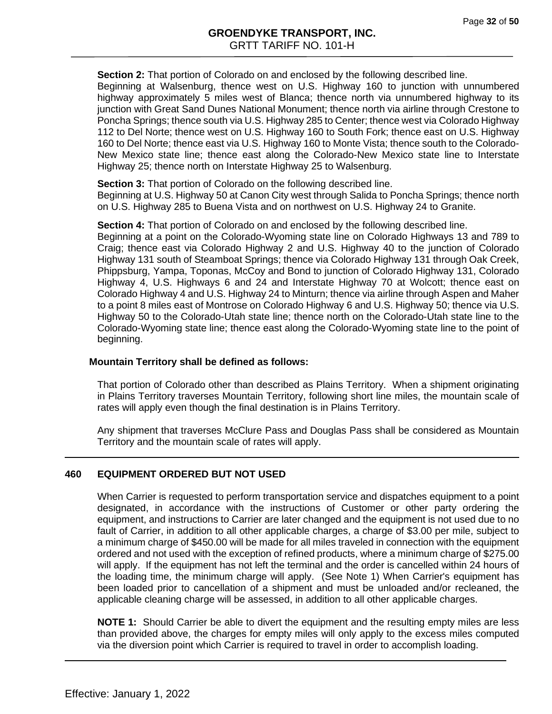**Section 2:** That portion of Colorado on and enclosed by the following described line. Beginning at Walsenburg, thence west on U.S. Highway 160 to junction with unnumbered highway approximately 5 miles west of Blanca; thence north via unnumbered highway to its junction with Great Sand Dunes National Monument; thence north via airline through Crestone to Poncha Springs; thence south via U.S. Highway 285 to Center; thence west via Colorado Highway 112 to Del Norte; thence west on U.S. Highway 160 to South Fork; thence east on U.S. Highway 160 to Del Norte; thence east via U.S. Highway 160 to Monte Vista; thence south to the Colorado-New Mexico state line; thence east along the Colorado-New Mexico state line to Interstate Highway 25; thence north on Interstate Highway 25 to Walsenburg.

**Section 3:** That portion of Colorado on the following described line.

Beginning at U.S. Highway 50 at Canon City west through Salida to Poncha Springs; thence north on U.S. Highway 285 to Buena Vista and on northwest on U.S. Highway 24 to Granite.

**Section 4:** That portion of Colorado on and enclosed by the following described line.

Beginning at a point on the Colorado-Wyoming state line on Colorado Highways 13 and 789 to Craig; thence east via Colorado Highway 2 and U.S. Highway 40 to the junction of Colorado Highway 131 south of Steamboat Springs; thence via Colorado Highway 131 through Oak Creek, Phippsburg, Yampa, Toponas, McCoy and Bond to junction of Colorado Highway 131, Colorado Highway 4, U.S. Highways 6 and 24 and Interstate Highway 70 at Wolcott; thence east on Colorado Highway 4 and U.S. Highway 24 to Minturn; thence via airline through Aspen and Maher to a point 8 miles east of Montrose on Colorado Highway 6 and U.S. Highway 50; thence via U.S. Highway 50 to the Colorado-Utah state line; thence north on the Colorado-Utah state line to the Colorado-Wyoming state line; thence east along the Colorado-Wyoming state line to the point of beginning.

#### **Mountain Territory shall be defined as follows:**

That portion of Colorado other than described as Plains Territory. When a shipment originating in Plains Territory traverses Mountain Territory, following short line miles, the mountain scale of rates will apply even though the final destination is in Plains Territory.

Any shipment that traverses McClure Pass and Douglas Pass shall be considered as Mountain Territory and the mountain scale of rates will apply.

#### **460 EQUIPMENT ORDERED BUT NOT USED**

When Carrier is requested to perform transportation service and dispatches equipment to a point designated, in accordance with the instructions of Customer or other party ordering the equipment, and instructions to Carrier are later changed and the equipment is not used due to no fault of Carrier, in addition to all other applicable charges, a charge of \$3.00 per mile, subject to a minimum charge of \$450.00 will be made for all miles traveled in connection with the equipment ordered and not used with the exception of refined products, where a minimum charge of \$275.00 will apply. If the equipment has not left the terminal and the order is cancelled within 24 hours of the loading time, the minimum charge will apply. (See Note 1) When Carrier's equipment has been loaded prior to cancellation of a shipment and must be unloaded and/or recleaned, the applicable cleaning charge will be assessed, in addition to all other applicable charges.

**NOTE 1:** Should Carrier be able to divert the equipment and the resulting empty miles are less than provided above, the charges for empty miles will only apply to the excess miles computed via the diversion point which Carrier is required to travel in order to accomplish loading.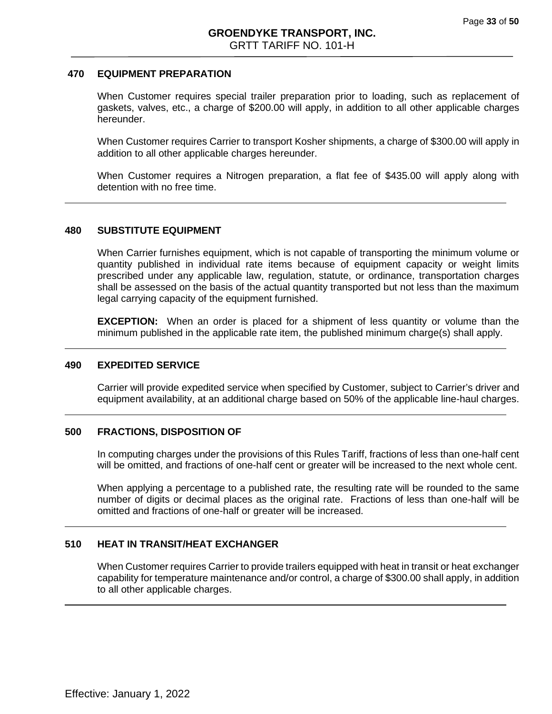#### **470 EQUIPMENT PREPARATION**

When Customer requires special trailer preparation prior to loading, such as replacement of gaskets, valves, etc., a charge of \$200.00 will apply, in addition to all other applicable charges hereunder.

When Customer requires Carrier to transport Kosher shipments, a charge of \$300.00 will apply in addition to all other applicable charges hereunder.

When Customer requires a Nitrogen preparation, a flat fee of \$435.00 will apply along with detention with no free time.

#### **480 SUBSTITUTE EQUIPMENT**

When Carrier furnishes equipment, which is not capable of transporting the minimum volume or quantity published in individual rate items because of equipment capacity or weight limits prescribed under any applicable law, regulation, statute, or ordinance, transportation charges shall be assessed on the basis of the actual quantity transported but not less than the maximum legal carrying capacity of the equipment furnished.

**EXCEPTION:** When an order is placed for a shipment of less quantity or volume than the minimum published in the applicable rate item, the published minimum charge(s) shall apply.

#### **490 EXPEDITED SERVICE**

Carrier will provide expedited service when specified by Customer, subject to Carrier's driver and equipment availability, at an additional charge based on 50% of the applicable line-haul charges.

#### **500 FRACTIONS, DISPOSITION OF**

In computing charges under the provisions of this Rules Tariff, fractions of less than one-half cent will be omitted, and fractions of one-half cent or greater will be increased to the next whole cent.

When applying a percentage to a published rate, the resulting rate will be rounded to the same number of digits or decimal places as the original rate. Fractions of less than one-half will be omitted and fractions of one-half or greater will be increased.

#### **510 HEAT IN TRANSIT/HEAT EXCHANGER**

When Customer requires Carrier to provide trailers equipped with heat in transit or heat exchanger capability for temperature maintenance and/or control, a charge of \$300.00 shall apply, in addition to all other applicable charges.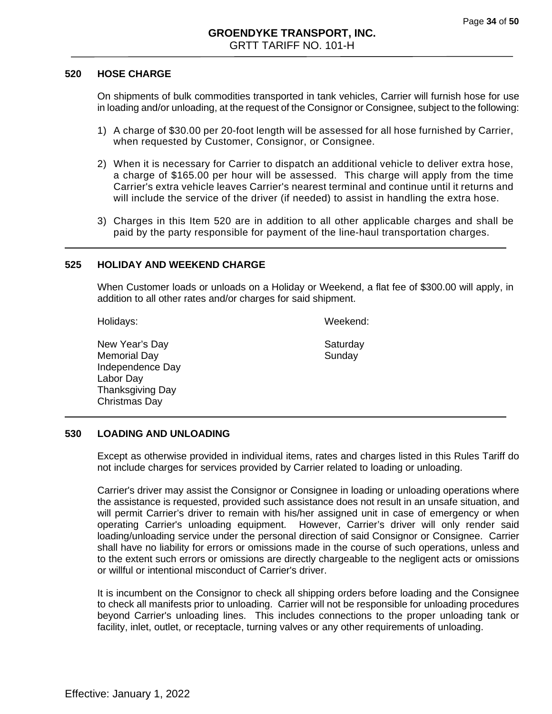#### **520 HOSE CHARGE**

On shipments of bulk commodities transported in tank vehicles, Carrier will furnish hose for use in loading and/or unloading, at the request of the Consignor or Consignee, subject to the following:

- 1) A charge of \$30.00 per 20-foot length will be assessed for all hose furnished by Carrier, when requested by Customer, Consignor, or Consignee.
- 2) When it is necessary for Carrier to dispatch an additional vehicle to deliver extra hose, a charge of \$165.00 per hour will be assessed. This charge will apply from the time Carrier's extra vehicle leaves Carrier's nearest terminal and continue until it returns and will include the service of the driver (if needed) to assist in handling the extra hose.
- 3) Charges in this Item 520 are in addition to all other applicable charges and shall be paid by the party responsible for payment of the line-haul transportation charges.

#### **525 HOLIDAY AND WEEKEND CHARGE**

When Customer loads or unloads on a Holiday or Weekend, a flat fee of \$300.00 will apply, in addition to all other rates and/or charges for said shipment.

Holidays: Weekend:

New Year's Day **Saturday** Saturday Memorial Day **Sunday** Sunday Independence Day Labor Day Thanksgiving Day Christmas Day

#### **530 LOADING AND UNLOADING**

Except as otherwise provided in individual items, rates and charges listed in this Rules Tariff do not include charges for services provided by Carrier related to loading or unloading.

Carrier's driver may assist the Consignor or Consignee in loading or unloading operations where the assistance is requested, provided such assistance does not result in an unsafe situation, and will permit Carrier's driver to remain with his/her assigned unit in case of emergency or when operating Carrier's unloading equipment. However, Carrier's driver will only render said loading/unloading service under the personal direction of said Consignor or Consignee. Carrier shall have no liability for errors or omissions made in the course of such operations, unless and to the extent such errors or omissions are directly chargeable to the negligent acts or omissions or willful or intentional misconduct of Carrier's driver.

It is incumbent on the Consignor to check all shipping orders before loading and the Consignee to check all manifests prior to unloading. Carrier will not be responsible for unloading procedures beyond Carrier's unloading lines. This includes connections to the proper unloading tank or facility, inlet, outlet, or receptacle, turning valves or any other requirements of unloading.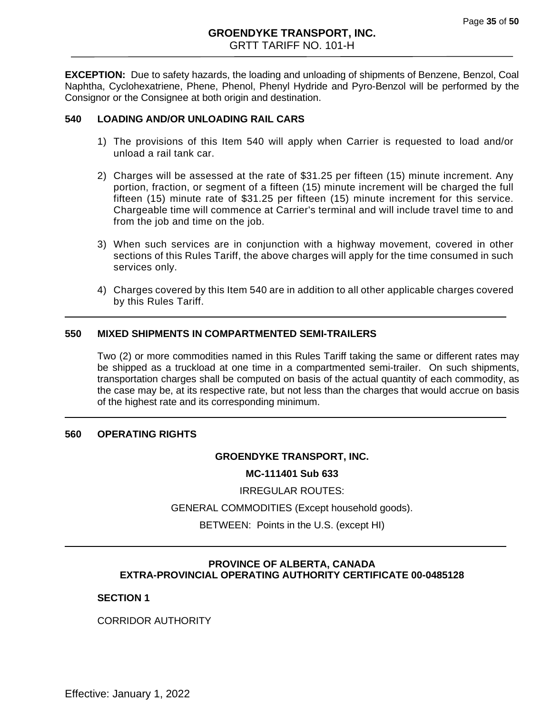**EXCEPTION:** Due to safety hazards, the loading and unloading of shipments of Benzene, Benzol, Coal Naphtha, Cyclohexatriene, Phene, Phenol, Phenyl Hydride and Pyro-Benzol will be performed by the Consignor or the Consignee at both origin and destination.

# **540 LOADING AND/OR UNLOADING RAIL CARS**

- 1) The provisions of this Item 540 will apply when Carrier is requested to load and/or unload a rail tank car.
- 2) Charges will be assessed at the rate of \$31.25 per fifteen (15) minute increment. Any portion, fraction, or segment of a fifteen (15) minute increment will be charged the full fifteen (15) minute rate of \$31.25 per fifteen (15) minute increment for this service. Chargeable time will commence at Carrier's terminal and will include travel time to and from the job and time on the job.
- 3) When such services are in conjunction with a highway movement, covered in other sections of this Rules Tariff, the above charges will apply for the time consumed in such services only.
- 4) Charges covered by this Item 540 are in addition to all other applicable charges covered by this Rules Tariff.

## **550 MIXED SHIPMENTS IN COMPARTMENTED SEMI-TRAILERS**

Two (2) or more commodities named in this Rules Tariff taking the same or different rates may be shipped as a truckload at one time in a compartmented semi-trailer. On such shipments, transportation charges shall be computed on basis of the actual quantity of each commodity, as the case may be, at its respective rate, but not less than the charges that would accrue on basis of the highest rate and its corresponding minimum.

#### **560 OPERATING RIGHTS**

#### **GROENDYKE TRANSPORT, INC.**

#### **MC-111401 Sub 633**

IRREGULAR ROUTES:

GENERAL COMMODITIES (Except household goods).

BETWEEN: Points in the U.S. (except HI)

# **PROVINCE OF ALBERTA, CANADA EXTRA-PROVINCIAL OPERATING AUTHORITY CERTIFICATE 00-0485128**

#### **SECTION 1**

CORRIDOR AUTHORITY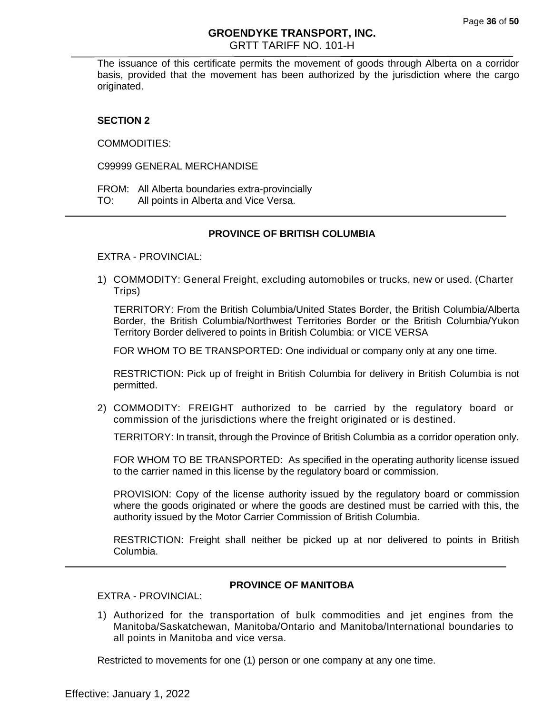The issuance of this certificate permits the movement of goods through Alberta on a corridor basis, provided that the movement has been authorized by the jurisdiction where the cargo originated.

## **SECTION 2**

COMMODITIES:

C99999 GENERAL MERCHANDISE

FROM: All Alberta boundaries extra-provincially TO: All points in Alberta and Vice Versa.

# **PROVINCE OF BRITISH COLUMBIA**

EXTRA - PROVINCIAL:

1) COMMODITY: General Freight, excluding automobiles or trucks, new or used. (Charter Trips)

TERRITORY: From the British Columbia/United States Border, the British Columbia/Alberta Border, the British Columbia/Northwest Territories Border or the British Columbia/Yukon Territory Border delivered to points in British Columbia: or VICE VERSA

FOR WHOM TO BE TRANSPORTED: One individual or company only at any one time.

RESTRICTION: Pick up of freight in British Columbia for delivery in British Columbia is not permitted.

2) COMMODITY: FREIGHT authorized to be carried by the regulatory board or commission of the jurisdictions where the freight originated or is destined.

TERRITORY: In transit, through the Province of British Columbia as a corridor operation only.

FOR WHOM TO BE TRANSPORTED: As specified in the operating authority license issued to the carrier named in this license by the regulatory board or commission.

PROVISION: Copy of the license authority issued by the regulatory board or commission where the goods originated or where the goods are destined must be carried with this, the authority issued by the Motor Carrier Commission of British Columbia.

RESTRICTION: Freight shall neither be picked up at nor delivered to points in British Columbia.

#### **PROVINCE OF MANITOBA**

EXTRA - PROVINCIAL:

1) Authorized for the transportation of bulk commodities and jet engines from the Manitoba/Saskatchewan, Manitoba/Ontario and Manitoba/International boundaries to all points in Manitoba and vice versa.

Restricted to movements for one (1) person or one company at any one time.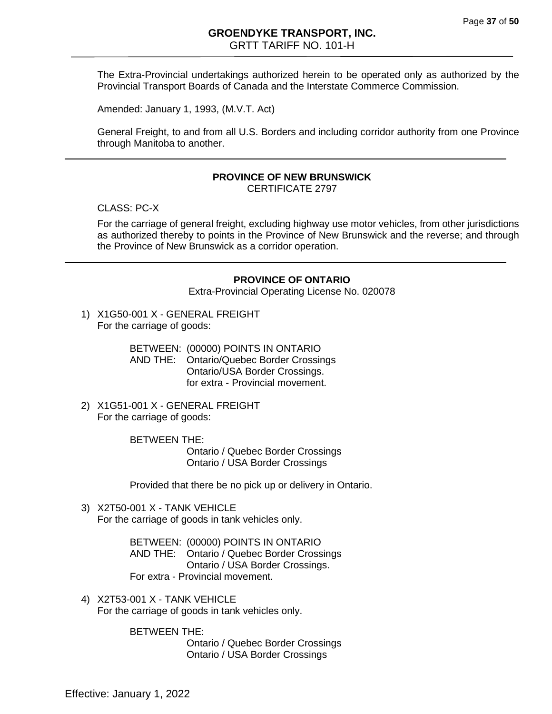The Extra-Provincial undertakings authorized herein to be operated only as authorized by the Provincial Transport Boards of Canada and the Interstate Commerce Commission.

Amended: January 1, 1993, (M.V.T. Act)

General Freight, to and from all U.S. Borders and including corridor authority from one Province through Manitoba to another.

#### **PROVINCE OF NEW BRUNSWICK**

CERTIFICATE 2797

CLASS: PC-X

For the carriage of general freight, excluding highway use motor vehicles, from other jurisdictions as authorized thereby to points in the Province of New Brunswick and the reverse; and through the Province of New Brunswick as a corridor operation.

#### **PROVINCE OF ONTARIO**

Extra-Provincial Operating License No. 020078

1) X1G50-001 X - GENERAL FREIGHT For the carriage of goods:

> BETWEEN: (00000) POINTS IN ONTARIO AND THE: Ontario/Quebec Border Crossings Ontario/USA Border Crossings. for extra - Provincial movement.

2) X1G51-001 X - GENERAL FREIGHT For the carriage of goods:

> BETWEEN THE: Ontario / Quebec Border Crossings Ontario / USA Border Crossings

Provided that there be no pick up or delivery in Ontario.

3) X2T50-001 X - TANK VEHICLE For the carriage of goods in tank vehicles only.

> BETWEEN: (00000) POINTS IN ONTARIO AND THE: Ontario / Quebec Border Crossings Ontario / USA Border Crossings. For extra - Provincial movement.

4) X2T53-001 X - TANK VEHICLE For the carriage of goods in tank vehicles only.

BETWEEN THE:

Ontario / Quebec Border Crossings Ontario / USA Border Crossings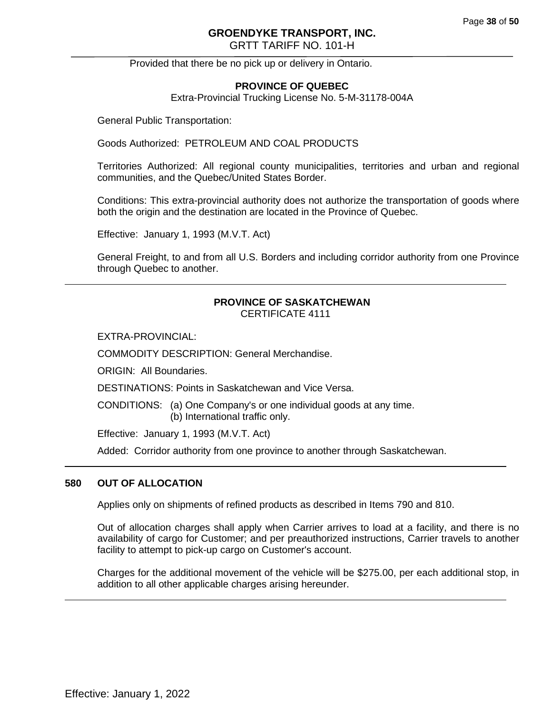# **GROENDYKE TRANSPORT, INC.**

GRTT TARIFF NO. 101-H

Provided that there be no pick up or delivery in Ontario.

# **PROVINCE OF QUEBEC**

Extra-Provincial Trucking License No. 5-M-31178-004A

General Public Transportation:

Goods Authorized: PETROLEUM AND COAL PRODUCTS

Territories Authorized: All regional county municipalities, territories and urban and regional communities, and the Quebec/United States Border.

Conditions: This extra-provincial authority does not authorize the transportation of goods where both the origin and the destination are located in the Province of Quebec.

Effective: January 1, 1993 (M.V.T. Act)

General Freight, to and from all U.S. Borders and including corridor authority from one Province through Quebec to another.

#### **PROVINCE OF SASKATCHEWAN** CERTIFICATE 4111

EXTRA-PROVINCIAL:

COMMODITY DESCRIPTION: General Merchandise.

ORIGIN: All Boundaries.

DESTINATIONS: Points in Saskatchewan and Vice Versa.

CONDITIONS: (a) One Company's or one individual goods at any time. (b) International traffic only.

Effective: January 1, 1993 (M.V.T. Act)

Added: Corridor authority from one province to another through Saskatchewan.

#### **580 OUT OF ALLOCATION**

Applies only on shipments of refined products as described in Items 790 and 810.

Out of allocation charges shall apply when Carrier arrives to load at a facility, and there is no availability of cargo for Customer; and per preauthorized instructions, Carrier travels to another facility to attempt to pick-up cargo on Customer's account.

Charges for the additional movement of the vehicle will be \$275.00, per each additional stop, in addition to all other applicable charges arising hereunder.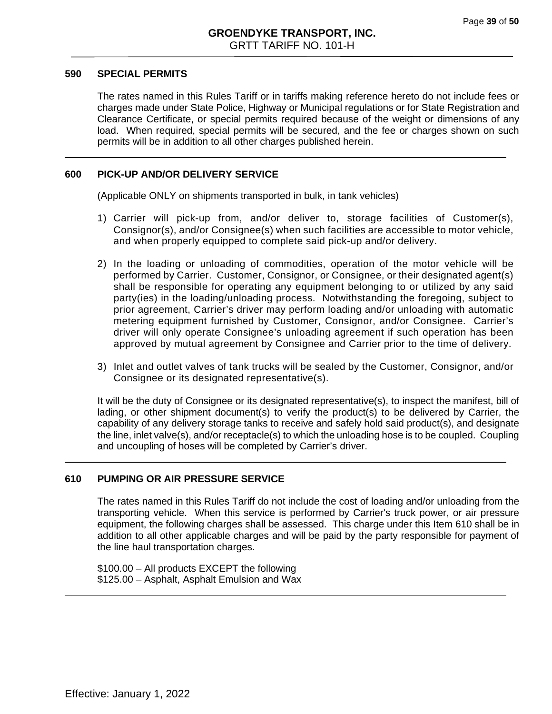#### **590 SPECIAL PERMITS**

The rates named in this Rules Tariff or in tariffs making reference hereto do not include fees or charges made under State Police, Highway or Municipal regulations or for State Registration and Clearance Certificate, or special permits required because of the weight or dimensions of any load. When required, special permits will be secured, and the fee or charges shown on such permits will be in addition to all other charges published herein.

#### **600 PICK-UP AND/OR DELIVERY SERVICE**

(Applicable ONLY on shipments transported in bulk, in tank vehicles)

- 1) Carrier will pick-up from, and/or deliver to, storage facilities of Customer(s), Consignor(s), and/or Consignee(s) when such facilities are accessible to motor vehicle, and when properly equipped to complete said pick-up and/or delivery.
- 2) In the loading or unloading of commodities, operation of the motor vehicle will be performed by Carrier. Customer, Consignor, or Consignee, or their designated agent(s) shall be responsible for operating any equipment belonging to or utilized by any said party(ies) in the loading/unloading process. Notwithstanding the foregoing, subject to prior agreement, Carrier's driver may perform loading and/or unloading with automatic metering equipment furnished by Customer, Consignor, and/or Consignee. Carrier's driver will only operate Consignee's unloading agreement if such operation has been approved by mutual agreement by Consignee and Carrier prior to the time of delivery.
- 3) Inlet and outlet valves of tank trucks will be sealed by the Customer, Consignor, and/or Consignee or its designated representative(s).

It will be the duty of Consignee or its designated representative(s), to inspect the manifest, bill of lading, or other shipment document(s) to verify the product(s) to be delivered by Carrier, the capability of any delivery storage tanks to receive and safely hold said product(s), and designate the line, inlet valve(s), and/or receptacle(s) to which the unloading hose is to be coupled. Coupling and uncoupling of hoses will be completed by Carrier's driver.

#### **610 PUMPING OR AIR PRESSURE SERVICE**

The rates named in this Rules Tariff do not include the cost of loading and/or unloading from the transporting vehicle. When this service is performed by Carrier's truck power, or air pressure equipment, the following charges shall be assessed. This charge under this Item 610 shall be in addition to all other applicable charges and will be paid by the party responsible for payment of the line haul transportation charges.

\$100.00 – All products EXCEPT the following \$125.00 – Asphalt, Asphalt Emulsion and Wax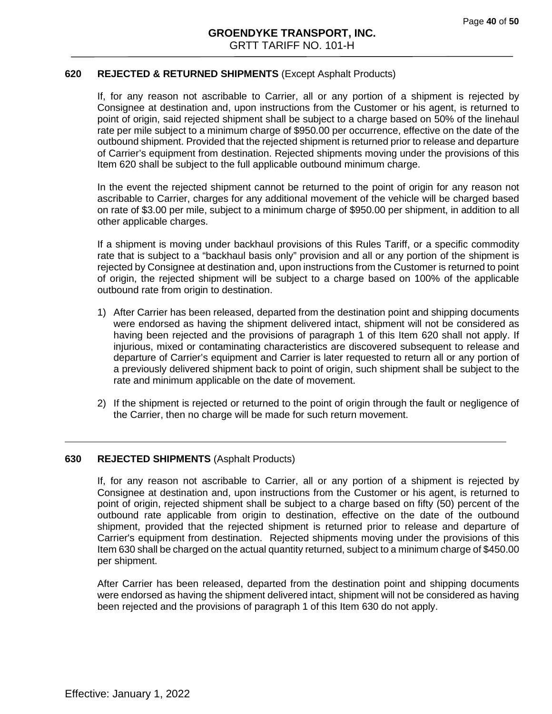#### **620 REJECTED & RETURNED SHIPMENTS** (Except Asphalt Products)

If, for any reason not ascribable to Carrier, all or any portion of a shipment is rejected by Consignee at destination and, upon instructions from the Customer or his agent, is returned to point of origin, said rejected shipment shall be subject to a charge based on 50% of the linehaul rate per mile subject to a minimum charge of \$950.00 per occurrence, effective on the date of the outbound shipment. Provided that the rejected shipment is returned prior to release and departure of Carrier's equipment from destination. Rejected shipments moving under the provisions of this Item 620 shall be subject to the full applicable outbound minimum charge.

In the event the rejected shipment cannot be returned to the point of origin for any reason not ascribable to Carrier, charges for any additional movement of the vehicle will be charged based on rate of \$3.00 per mile, subject to a minimum charge of \$950.00 per shipment, in addition to all other applicable charges.

If a shipment is moving under backhaul provisions of this Rules Tariff, or a specific commodity rate that is subject to a "backhaul basis only" provision and all or any portion of the shipment is rejected by Consignee at destination and, upon instructions from the Customer is returned to point of origin, the rejected shipment will be subject to a charge based on 100% of the applicable outbound rate from origin to destination.

- 1) After Carrier has been released, departed from the destination point and shipping documents were endorsed as having the shipment delivered intact, shipment will not be considered as having been rejected and the provisions of paragraph 1 of this Item 620 shall not apply. If injurious, mixed or contaminating characteristics are discovered subsequent to release and departure of Carrier's equipment and Carrier is later requested to return all or any portion of a previously delivered shipment back to point of origin, such shipment shall be subject to the rate and minimum applicable on the date of movement.
- 2) If the shipment is rejected or returned to the point of origin through the fault or negligence of the Carrier, then no charge will be made for such return movement.

#### **630 REJECTED SHIPMENTS** (Asphalt Products)

If, for any reason not ascribable to Carrier, all or any portion of a shipment is rejected by Consignee at destination and, upon instructions from the Customer or his agent, is returned to point of origin, rejected shipment shall be subject to a charge based on fifty (50) percent of the outbound rate applicable from origin to destination, effective on the date of the outbound shipment, provided that the rejected shipment is returned prior to release and departure of Carrier's equipment from destination. Rejected shipments moving under the provisions of this Item 630 shall be charged on the actual quantity returned, subject to a minimum charge of \$450.00 per shipment.

After Carrier has been released, departed from the destination point and shipping documents were endorsed as having the shipment delivered intact, shipment will not be considered as having been rejected and the provisions of paragraph 1 of this Item 630 do not apply.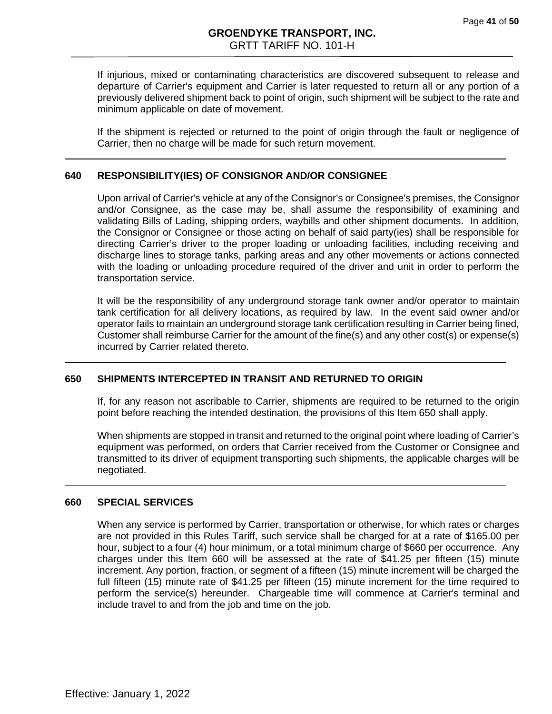If injurious, mixed or contaminating characteristics are discovered subsequent to release and departure of Carrier's equipment and Carrier is later requested to return all or any portion of a previously delivered shipment back to point of origin, such shipment will be subject to the rate and minimum applicable on date of movement.

If the shipment is rejected or returned to the point of origin through the fault or negligence of Carrier, then no charge will be made for such return movement.

#### **640 RESPONSIBILITY(IES) OF CONSIGNOR AND/OR CONSIGNEE**

Upon arrival of Carrier's vehicle at any of the Consignor's or Consignee's premises, the Consignor and/or Consignee, as the case may be, shall assume the responsibility of examining and validating Bills of Lading, shipping orders, waybills and other shipment documents. In addition, the Consignor or Consignee or those acting on behalf of said party(ies) shall be responsible for directing Carrier's driver to the proper loading or unloading facilities, including receiving and discharge lines to storage tanks, parking areas and any other movements or actions connected with the loading or unloading procedure required of the driver and unit in order to perform the transportation service.

It will be the responsibility of any underground storage tank owner and/or operator to maintain tank certification for all delivery locations, as required by law. In the event said owner and/or operator fails to maintain an underground storage tank certification resulting in Carrier being fined, Customer shall reimburse Carrier for the amount of the fine(s) and any other cost(s) or expense(s) incurred by Carrier related thereto.

# <span id="page-40-0"></span>**650 SHIPMENTS INTERCEPTED IN TRANSIT AND RETURNED TO ORIGIN**

If, for any reason not ascribable to Carrier, shipments are required to be returned to the origin point before reaching the intended destination, the provisions of this Item 650 shall apply.

When shipments are stopped in transit and returned to the original point where loading of Carrier's equipment was performed, on orders that Carrier received from the Customer or Consignee and transmitted to its driver of equipment transporting such shipments, the applicable charges will be negotiated.

#### **660 SPECIAL SERVICES**

When any service is performed by Carrier, transportation or otherwise, for which rates or charges are not provided in this Rules Tariff, such service shall be charged for at a rate of \$165.00 per hour, subject to a four (4) hour minimum, or a total minimum charge of \$660 per occurrence. Any charges under this Item 660 will be assessed at the rate of \$41.25 per fifteen (15) minute increment. Any portion, fraction, or segment of a fifteen (15) minute increment will be charged the full fifteen (15) minute rate of \$41.25 per fifteen (15) minute increment for the time required to perform the service(s) hereunder. Chargeable time will commence at Carrier's terminal and include travel to and from the job and time on the job.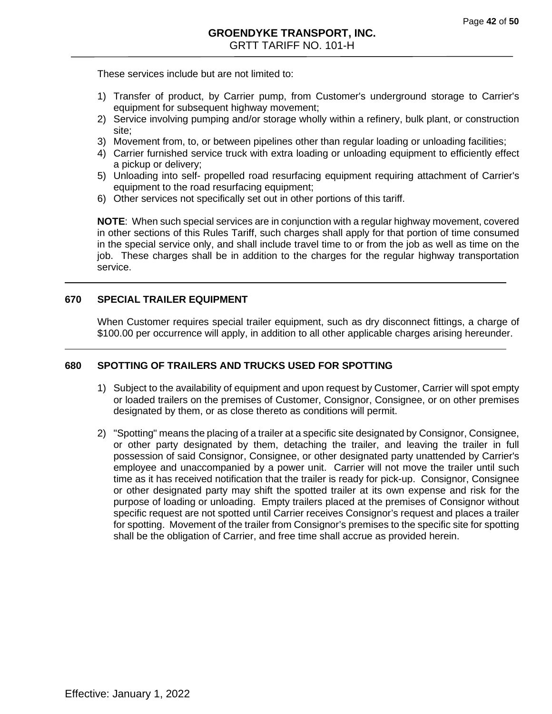These services include but are not limited to:

- 1) Transfer of product, by Carrier pump, from Customer's underground storage to Carrier's equipment for subsequent highway movement;
- 2) Service involving pumping and/or storage wholly within a refinery, bulk plant, or construction site;
- 3) Movement from, to, or between pipelines other than regular loading or unloading facilities;
- 4) Carrier furnished service truck with extra loading or unloading equipment to efficiently effect a pickup or delivery;
- 5) Unloading into self- propelled road resurfacing equipment requiring attachment of Carrier's equipment to the road resurfacing equipment;
- 6) Other services not specifically set out in other portions of this tariff.

**NOTE**: When such special services are in conjunction with a regular highway movement, covered in other sections of this Rules Tariff, such charges shall apply for that portion of time consumed in the special service only, and shall include travel time to or from the job as well as time on the job. These charges shall be in addition to the charges for the regular highway transportation service.

#### **670 SPECIAL TRAILER EQUIPMENT**

When Customer requires special trailer equipment, such as dry disconnect fittings, a charge of \$100.00 per occurrence will apply, in addition to all other applicable charges arising hereunder.

# <span id="page-41-0"></span>**680 SPOTTING OF TRAILERS AND TRUCKS USED FOR SPOTTING**

- 1) Subject to the availability of equipment and upon request by Customer, Carrier will spot empty or loaded trailers on the premises of Customer, Consignor, Consignee, or on other premises designated by them, or as close thereto as conditions will permit.
- 2) "Spotting" means the placing of a trailer at a specific site designated by Consignor, Consignee, or other party designated by them, detaching the trailer, and leaving the trailer in full possession of said Consignor, Consignee, or other designated party unattended by Carrier's employee and unaccompanied by a power unit. Carrier will not move the trailer until such time as it has received notification that the trailer is ready for pick-up. Consignor, Consignee or other designated party may shift the spotted trailer at its own expense and risk for the purpose of loading or unloading. Empty trailers placed at the premises of Consignor without specific request are not spotted until Carrier receives Consignor's request and places a trailer for spotting. Movement of the trailer from Consignor's premises to the specific site for spotting shall be the obligation of Carrier, and free time shall accrue as provided herein.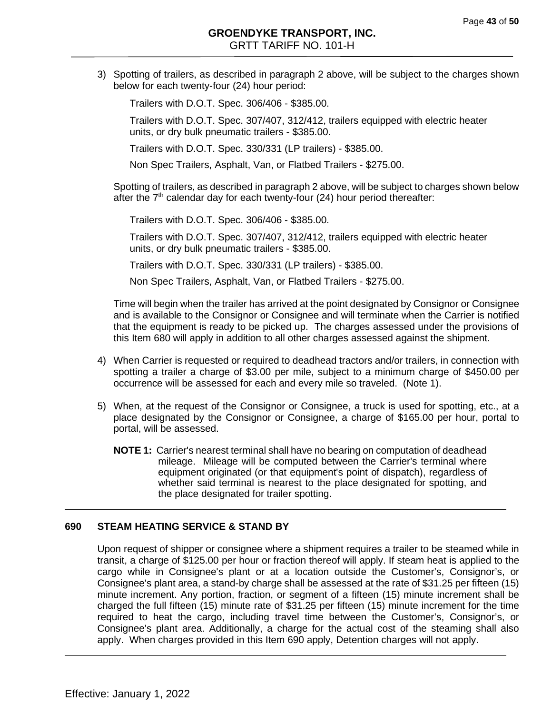3) Spotting of trailers, as described in paragraph 2 above, will be subject to the charges shown below for each twenty-four (24) hour period:

Trailers with D.O.T. Spec. 306/406 - \$385.00.

Trailers with D.O.T. Spec. 307/407, 312/412, trailers equipped with electric heater units, or dry bulk pneumatic trailers - \$385.00.

Trailers with D.O.T. Spec. 330/331 (LP trailers) - \$385.00.

Non Spec Trailers, Asphalt, Van, or Flatbed Trailers - \$275.00.

Spotting of trailers, as described in paragraph 2 above, will be subject to charges shown below after the  $7<sup>th</sup>$  calendar day for each twenty-four (24) hour period thereafter:

Trailers with D.O.T. Spec. 306/406 - \$385.00.

Trailers with D.O.T. Spec. 307/407, 312/412, trailers equipped with electric heater units, or dry bulk pneumatic trailers - \$385.00.

Trailers with D.O.T. Spec. 330/331 (LP trailers) - \$385.00.

Non Spec Trailers, Asphalt, Van, or Flatbed Trailers - \$275.00.

Time will begin when the trailer has arrived at the point designated by Consignor or Consignee and is available to the Consignor or Consignee and will terminate when the Carrier is notified that the equipment is ready to be picked up. The charges assessed under the provisions of this Item 680 will apply in addition to all other charges assessed against the shipment.

- <span id="page-42-0"></span>4) When Carrier is requested or required to deadhead tractors and/or trailers, in connection with spotting a trailer a charge of \$3.00 per mile, subject to a minimum charge of \$450.00 per occurrence will be assessed for each and every mile so traveled. (Note 1).
- 5) When, at the request of the Consignor or Consignee, a truck is used for spotting, etc., at a place designated by the Consignor or Consignee, a charge of \$165.00 per hour, portal to portal, will be assessed.
	- **NOTE 1:** Carrier's nearest terminal shall have no bearing on computation of deadhead mileage. Mileage will be computed between the Carrier's terminal where equipment originated (or that equipment's point of dispatch), regardless of whether said terminal is nearest to the place designated for spotting, and the place designated for trailer spotting.

#### **690 STEAM HEATING SERVICE & STAND BY**

Upon request of shipper or consignee where a shipment requires a trailer to be steamed while in transit, a charge of \$125.00 per hour or fraction thereof will apply. If steam heat is applied to the cargo while in Consignee's plant or at a location outside the Customer's, Consignor's, or Consignee's plant area, a stand-by charge shall be assessed at the rate of \$31.25 per fifteen (15) minute increment. Any portion, fraction, or segment of a fifteen (15) minute increment shall be charged the full fifteen (15) minute rate of \$31.25 per fifteen (15) minute increment for the time required to heat the cargo, including travel time between the Customer's, Consignor's, or Consignee's plant area. Additionally, a charge for the actual cost of the steaming shall also apply. When charges provided in this Item 690 apply, Detention charges will not apply.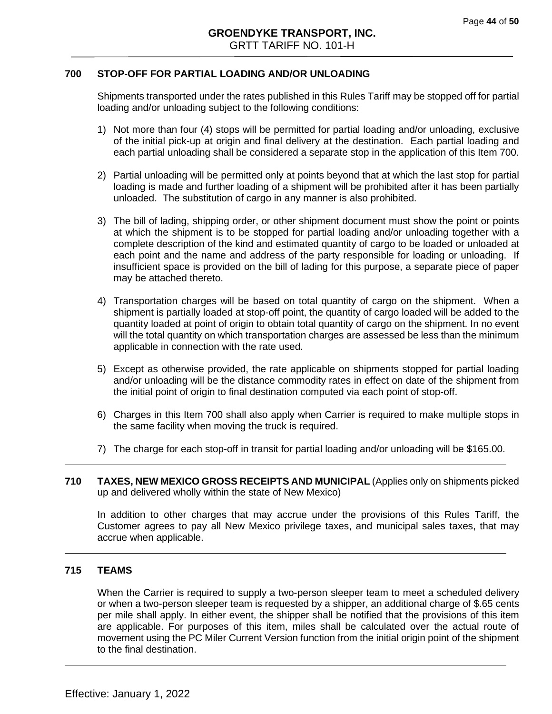#### **700 STOP-OFF FOR PARTIAL LOADING AND/OR UNLOADING**

Shipments transported under the rates published in this Rules Tariff may be stopped off for partial loading and/or unloading subject to the following conditions:

- 1) Not more than four (4) stops will be permitted for partial loading and/or unloading, exclusive of the initial pick-up at origin and final delivery at the destination. Each partial loading and each partial unloading shall be considered a separate stop in the application of this Item 700.
- 2) Partial unloading will be permitted only at points beyond that at which the last stop for partial loading is made and further loading of a shipment will be prohibited after it has been partially unloaded. The substitution of cargo in any manner is also prohibited.
- 3) The bill of lading, shipping order, or other shipment document must show the point or points at which the shipment is to be stopped for partial loading and/or unloading together with a complete description of the kind and estimated quantity of cargo to be loaded or unloaded at each point and the name and address of the party responsible for loading or unloading. If insufficient space is provided on the bill of lading for this purpose, a separate piece of paper may be attached thereto.
- 4) Transportation charges will be based on total quantity of cargo on the shipment. When a shipment is partially loaded at stop-off point, the quantity of cargo loaded will be added to the quantity loaded at point of origin to obtain total quantity of cargo on the shipment. In no event will the total quantity on which transportation charges are assessed be less than the minimum applicable in connection with the rate used.
- 5) Except as otherwise provided, the rate applicable on shipments stopped for partial loading and/or unloading will be the distance commodity rates in effect on date of the shipment from the initial point of origin to final destination computed via each point of stop-off.
- 6) Charges in this Item 700 shall also apply when Carrier is required to make multiple stops in the same facility when moving the truck is required.
- 7) The charge for each stop-off in transit for partial loading and/or unloading will be \$165.00.
- **710 TAXES, NEW MEXICO GROSS RECEIPTS AND MUNICIPAL** (Applies only on shipments picked up and delivered wholly within the state of New Mexico)

In addition to other charges that may accrue under the provisions of this Rules Tariff, the Customer agrees to pay all New Mexico privilege taxes, and municipal sales taxes, that may accrue when applicable.

#### **715 TEAMS**

When the Carrier is required to supply a two-person sleeper team to meet a scheduled delivery or when a two-person sleeper team is requested by a shipper, an additional charge of \$.65 cents per mile shall apply. In either event, the shipper shall be notified that the provisions of this item are applicable. For purposes of this item, miles shall be calculated over the actual route of movement using the PC Miler Current Version function from the initial origin point of the shipment to the final destination.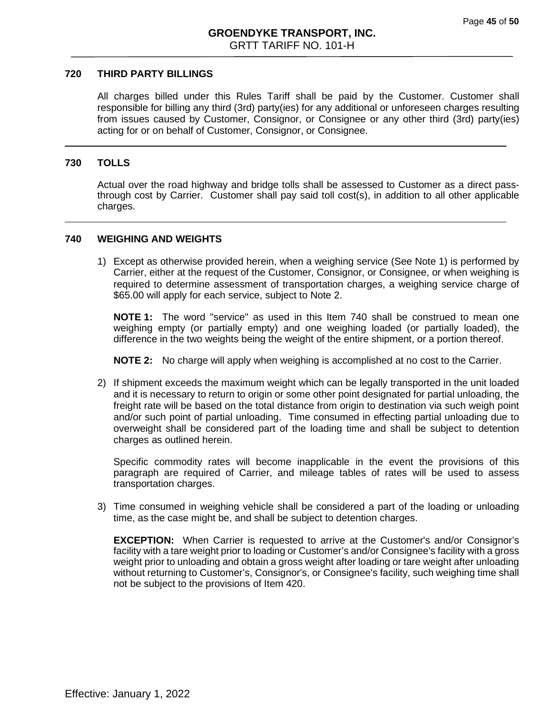#### **720 THIRD PARTY BILLINGS**

All charges billed under this Rules Tariff shall be paid by the Customer. Customer shall responsible for billing any third (3rd) party(ies) for any additional or unforeseen charges resulting from issues caused by Customer, Consignor, or Consignee or any other third (3rd) party(ies) acting for or on behalf of Customer, Consignor, or Consignee.

#### **730 TOLLS**

Actual over the road highway and bridge tolls shall be assessed to Customer as a direct passthrough cost by Carrier. Customer shall pay said toll cost(s), in addition to all other applicable charges.

#### **740 WEIGHING AND WEIGHTS**

1) Except as otherwise provided herein, when a weighing service (See Note 1) is performed by Carrier, either at the request of the Customer, Consignor, or Consignee, or when weighing is required to determine assessment of transportation charges, a weighing service charge of \$65.00 will apply for each service, subject to Note 2.

**NOTE 1:** The word "service" as used in this Item 740 shall be construed to mean one weighing empty (or partially empty) and one weighing loaded (or partially loaded), the difference in the two weights being the weight of the entire shipment, or a portion thereof.

**NOTE 2:** No charge will apply when weighing is accomplished at no cost to the Carrier.

2) If shipment exceeds the maximum weight which can be legally transported in the unit loaded and it is necessary to return to origin or some other point designated for partial unloading, the freight rate will be based on the total distance from origin to destination via such weigh point and/or such point of partial unloading. Time consumed in effecting partial unloading due to overweight shall be considered part of the loading time and shall be subject to detention charges as outlined herein.

Specific commodity rates will become inapplicable in the event the provisions of this paragraph are required of Carrier, and mileage tables of rates will be used to assess transportation charges.

3) Time consumed in weighing vehicle shall be considered a part of the loading or unloading time, as the case might be, and shall be subject to detention charges.

**EXCEPTION:** When Carrier is requested to arrive at the Customer's and/or Consignor's facility with a tare weight prior to loading or Customer's and/or Consignee's facility with a gross weight prior to unloading and obtain a gross weight after loading or tare weight after unloading without returning to Customer's, Consignor's, or Consignee's facility, such weighing time shall not be subject to the provisions of Item 420.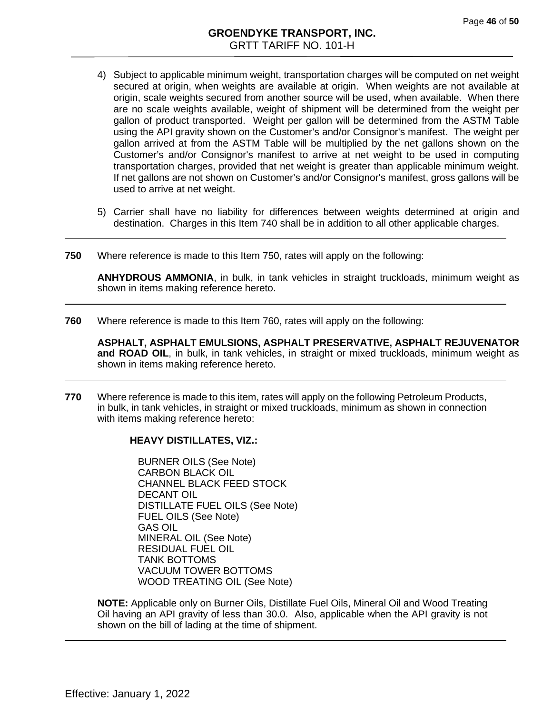- 4) Subject to applicable minimum weight, transportation charges will be computed on net weight secured at origin, when weights are available at origin. When weights are not available at origin, scale weights secured from another source will be used, when available. When there are no scale weights available, weight of shipment will be determined from the weight per gallon of product transported. Weight per gallon will be determined from the ASTM Table using the API gravity shown on the Customer's and/or Consignor's manifest. The weight per gallon arrived at from the ASTM Table will be multiplied by the net gallons shown on the Customer's and/or Consignor's manifest to arrive at net weight to be used in computing transportation charges, provided that net weight is greater than applicable minimum weight. If net gallons are not shown on Customer's and/or Consignor's manifest, gross gallons will be used to arrive at net weight.
- 5) Carrier shall have no liability for differences between weights determined at origin and destination. Charges in this Item 740 shall be in addition to all other applicable charges.
- **750** Where reference is made to this Item 750, rates will apply on the following:

**ANHYDROUS AMMONIA**, in bulk, in tank vehicles in straight truckloads, minimum weight as shown in items making reference hereto.

**760** Where reference is made to this Item 760, rates will apply on the following:

**ASPHALT, ASPHALT EMULSIONS, ASPHALT PRESERVATIVE, ASPHALT REJUVENATOR and ROAD OIL**, in bulk, in tank vehicles, in straight or mixed truckloads, minimum weight as shown in items making reference hereto.

**770** Where reference is made to this item, rates will apply on the following Petroleum Products, in bulk, in tank vehicles, in straight or mixed truckloads, minimum as shown in connection with items making reference hereto:

#### **HEAVY DISTILLATES, VIZ.:**

BURNER OILS (See Note) CARBON BLACK OIL CHANNEL BLACK FEED STOCK DECANT OIL DISTILLATE FUEL OILS (See Note) FUEL OILS (See Note) GAS OIL MINERAL OIL (See Note) RESIDUAL FUEL OIL TANK BOTTOMS VACUUM TOWER BOTTOMS WOOD TREATING OIL (See Note)

**NOTE:** Applicable only on Burner Oils, Distillate Fuel Oils, Mineral Oil and Wood Treating Oil having an API gravity of less than 30.0. Also, applicable when the API gravity is not shown on the bill of lading at the time of shipment.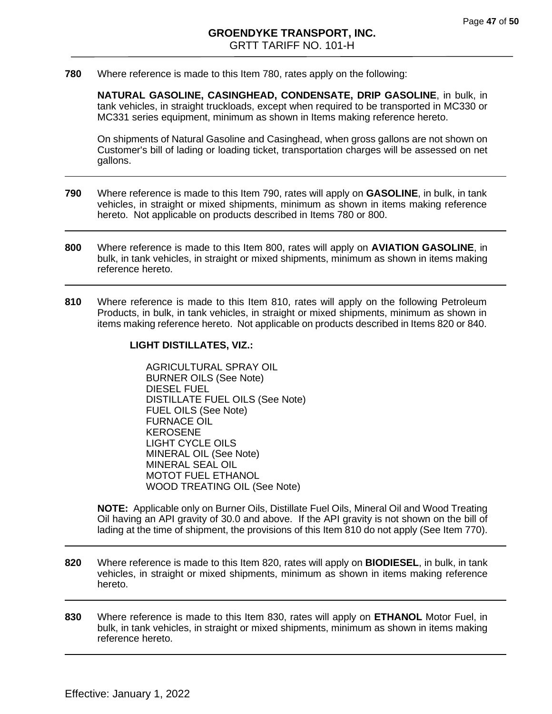**780** Where reference is made to this Item 780, rates apply on the following:

**NATURAL GASOLINE, CASINGHEAD, CONDENSATE, DRIP GASOLINE**, in bulk, in tank vehicles, in straight truckloads, except when required to be transported in MC330 or MC331 series equipment, minimum as shown in Items making reference hereto.

On shipments of Natural Gasoline and Casinghead, when gross gallons are not shown on Customer's bill of lading or loading ticket, transportation charges will be assessed on net gallons.

- **790** Where reference is made to this Item 790, rates will apply on **GASOLINE**, in bulk, in tank vehicles, in straight or mixed shipments, minimum as shown in items making reference hereto. Not applicable on products described in Items 780 or 800.
- **800** Where reference is made to this Item 800, rates will apply on **AVIATION GASOLINE**, in bulk, in tank vehicles, in straight or mixed shipments, minimum as shown in items making reference hereto.
- <span id="page-46-0"></span>**810** Where reference is made to this Item 810, rates will apply on the following Petroleum Products, in bulk, in tank vehicles, in straight or mixed shipments, minimum as shown in items making reference hereto. Not applicable on products described in Items 820 or 840.

#### **LIGHT DISTILLATES, VIZ.:**

AGRICULTURAL SPRAY OIL BURNER OILS (See Note) DIESEL FUEL DISTILLATE FUEL OILS (See Note) FUEL OILS (See Note) FURNACE OIL KEROSENE LIGHT CYCLE OILS MINERAL OIL (See Note) MINERAL SEAL OIL MOTOT FUEL ETHANOL WOOD TREATING OIL (See Note)

**NOTE:** Applicable only on Burner Oils, Distillate Fuel Oils, Mineral Oil and Wood Treating Oil having an API gravity of 30.0 and above. If the API gravity is not shown on the bill of lading at the time of shipment, the provisions of this Item 810 do not apply (See Item 770).

- **820** Where reference is made to this Item 820, rates will apply on **BIODIESEL**, in bulk, in tank vehicles, in straight or mixed shipments, minimum as shown in items making reference hereto.
- <span id="page-46-1"></span>**830** Where reference is made to this Item 830, rates will apply on **ETHANOL** Motor Fuel, in bulk, in tank vehicles, in straight or mixed shipments, minimum as shown in items making reference hereto.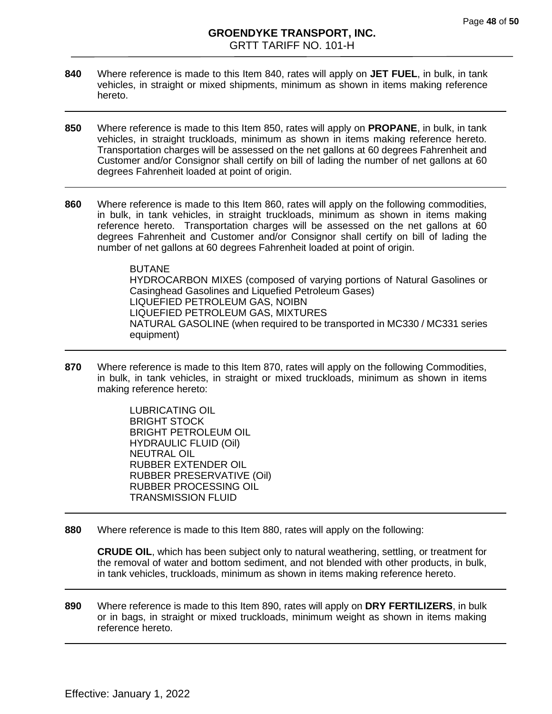- **840** Where reference is made to this Item 840, rates will apply on **JET FUEL**, in bulk, in tank vehicles, in straight or mixed shipments, minimum as shown in items making reference hereto.
- **850** Where reference is made to this Item 850, rates will apply on **PROPANE**, in bulk, in tank vehicles, in straight truckloads, minimum as shown in items making reference hereto. Transportation charges will be assessed on the net gallons at 60 degrees Fahrenheit and Customer and/or Consignor shall certify on bill of lading the number of net gallons at 60 degrees Fahrenheit loaded at point of origin.
- **860** Where reference is made to this Item 860, rates will apply on the following commodities, in bulk, in tank vehicles, in straight truckloads, minimum as shown in items making reference hereto. Transportation charges will be assessed on the net gallons at 60 degrees Fahrenheit and Customer and/or Consignor shall certify on bill of lading the number of net gallons at 60 degrees Fahrenheit loaded at point of origin.

BUTANE HYDROCARBON MIXES (composed of varying portions of Natural Gasolines or Casinghead Gasolines and Liquefied Petroleum Gases) LIQUEFIED PETROLEUM GAS, NOIBN LIQUEFIED PETROLEUM GAS, MIXTURES NATURAL GASOLINE (when required to be transported in MC330 / MC331 series equipment)

<span id="page-47-0"></span>**870** Where reference is made to this Item 870, rates will apply on the following Commodities, in bulk, in tank vehicles, in straight or mixed truckloads, minimum as shown in items making reference hereto:

> LUBRICATING OIL BRIGHT STOCK BRIGHT PETROLEUM OIL HYDRAULIC FLUID (Oil) NEUTRAL OIL RUBBER EXTENDER OIL RUBBER PRESERVATIVE (Oil) RUBBER PROCESSING OIL TRANSMISSION FLUID

**880** Where reference is made to this Item 880, rates will apply on the following:

**CRUDE OIL**, which has been subject only to natural weathering, settling, or treatment for the removal of water and bottom sediment, and not blended with other products, in bulk, in tank vehicles, truckloads, minimum as shown in items making reference hereto.

**890** Where reference is made to this Item 890, rates will apply on **DRY FERTILIZERS**, in bulk or in bags, in straight or mixed truckloads, minimum weight as shown in items making reference hereto.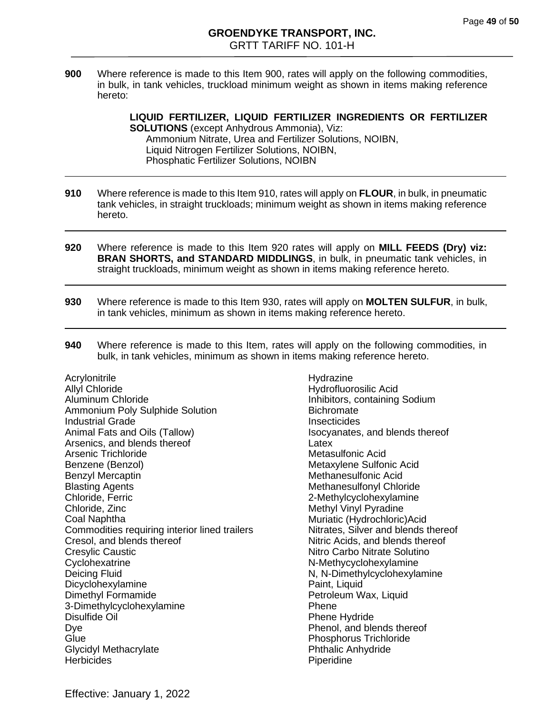**900** Where reference is made to this Item 900, rates will apply on the following commodities, in bulk, in tank vehicles, truckload minimum weight as shown in items making reference hereto:

> **LIQUID FERTILIZER, LIQUID FERTILIZER INGREDIENTS OR FERTILIZER SOLUTIONS** (except Anhydrous Ammonia), Viz: Ammonium Nitrate, Urea and Fertilizer Solutions, NOIBN, Liquid Nitrogen Fertilizer Solutions, NOIBN, Phosphatic Fertilizer Solutions, NOIBN

- **910** Where reference is made to this Item 910, rates will apply on **FLOUR**, in bulk, in pneumatic tank vehicles, in straight truckloads; minimum weight as shown in items making reference hereto.
- **920** Where reference is made to this Item 920 rates will apply on **MILL FEEDS (Dry) viz: BRAN SHORTS, and STANDARD MIDDLINGS**, in bulk, in pneumatic tank vehicles, in straight truckloads, minimum weight as shown in items making reference hereto.
- **930** Where reference is made to this Item 930, rates will apply on **MOLTEN SULFUR**, in bulk, in tank vehicles, minimum as shown in items making reference hereto.
- **940** Where reference is made to this Item, rates will apply on the following commodities, in bulk, in tank vehicles, minimum as shown in items making reference hereto.

**Acrylonitrile** Allyl Chloride Aluminum Chloride Ammonium Poly Sulphide Solution Industrial Grade Animal Fats and Oils (Tallow) Arsenics, and blends thereof Arsenic Trichloride Benzene (Benzol) Benzyl Mercaptin Blasting Agents Chloride, Ferric Chloride, Zinc Coal Naphtha Commodities requiring interior lined trailers Cresol, and blends thereof Cresylic Caustic **Cyclohexatrine** Deicing Fluid Dicyclohexylamine Dimethyl Formamide 3-Dimethylcyclohexylamine Disulfide Oil Dye **Glue** Glycidyl Methacrylate **Herbicides** 

Hydrazine Hydrofluorosilic Acid Inhibitors, containing Sodium **Bichromate Insecticides** Isocyanates, and blends thereof Latex Metasulfonic Acid Metaxylene Sulfonic Acid Methanesulfonic Acid Methanesulfonyl Chloride 2-Methylcyclohexylamine Methyl Vinyl Pyradine Muriatic (Hydrochloric)Acid Nitrates, Silver and blends thereof Nitric Acids, and blends thereof Nitro Carbo Nitrate Solutino N-Methycyclohexylamine N, N-Dimethylcyclohexylamine Paint, Liquid Petroleum Wax, Liquid Phene Phene Hydride Phenol, and blends thereof Phosphorus Trichloride Phthalic Anhydride Piperidine